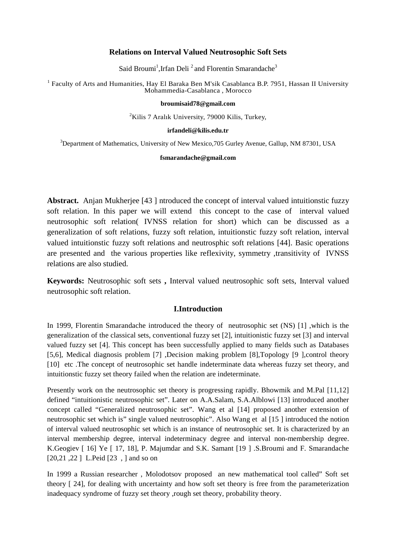### **Relations on Interval Valued Neutrosophic Soft Sets**

Said Broumi<sup>1</sup>, Irfan Deli<sup>2</sup> and Florentin Smarandache<sup>3</sup>

<sup>1</sup> Faculty of Arts and Humanities, Hay El Baraka Ben M'sik Casablanca B.P. 7951, Hassan II University Mohammedia-Casablanca , Morocco

### **broumisaid78@gmail.com**

 $2$ Kilis 7 Aralık University, 79000 Kilis, Turkey,

#### **irfandeli@kilis.edu.tr**

<sup>3</sup>Department of Mathematics, University of New Mexico, 705 Gurley Avenue, Gallup, NM 87301, USA

#### **fsmarandache@gmail.com**

**Abstract.** Anjan Mukherjee [43 ] ntroduced the concept of interval valued intuitionstic fuzzy soft relation. In this paper we will extend this concept to the case of interval valued neutrosophic soft relation( IVNSS relation for short) which can be discussed as a generalization of soft relations, fuzzy soft relation, intuitionstic fuzzy soft relation, interval valued intuitionstic fuzzy soft relations and neutrosphic soft relations [44]. Basic operations are presented and the various properties like reflexivity, symmetry ,transitivity of IVNSS relations are also studied.

**Keywords:** Neutrosophic soft sets **,** Interval valued neutrosophic soft sets, Interval valued neutrosophic soft relation.

## **I.Introduction**

In 1999, Florentin Smarandache introduced the theory of neutrosophic set (NS) [1] ,which is the generalization of the classical sets, conventional fuzzy set [2], intuitionistic fuzzy set [3] and interval valued fuzzy set [4]. This concept has been successfully applied to many fields such as Databases [5,6], Medical diagnosis problem [7] ,Decision making problem [8],Topology [9 ],control theory [10] etc .The concept of neutrosophic set handle indeterminate data whereas fuzzy set theory, and intuitionstic fuzzy set theory failed when the relation are indeterminate.

Presently work on the neutrosophic set theory is progressing rapidly. Bhowmik and M.Pal [11,12] defined "intuitionistic neutrosophic set". Later on A.A.Salam, S.A.Alblowi [13] introduced another concept called "Generalized neutrosophic set". Wang et al [14] proposed another extension of neutrosophic set which is" single valued neutrosophic". Also Wang et al [15 ] introduced the notion of interval valued neutrosophic set which is an instance of neutrosophic set. It is characterized by an interval membership degree, interval indeterminacy degree and interval non-membership degree. K.Geogiev [ 16] Ye [ 17, 18], P. Majumdar and S.K. Samant [19 ] .S.Broumi and F. Smarandache [20,21,22] L.Peid [23, ] and so on

In 1999 a Russian researcher , Molodotsov proposed an new mathematical tool called" Soft set theory [ 24], for dealing with uncertainty and how soft set theory is free from the parameterization inadequacy syndrome of fuzzy set theory ,rough set theory, probability theory.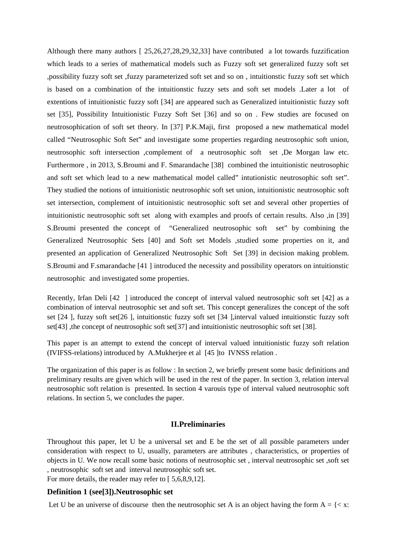Although there many authors [ 25,26,27,28,29,32,33] have contributed a lot towards fuzzification which leads to a series of mathematical models such as Fuzzy soft set generalized fuzzy soft set ,possibility fuzzy soft set ,fuzzy parameterized soft set and so on , intuitionstic fuzzy soft set which is based on a combination of the intuitionstic fuzzy sets and soft set models .Later a lot of extentions of intuitionistic fuzzy soft [34] are appeared such as Generalized intuitionistic fuzzy soft set [35], Possibility Intuitionistic Fuzzy Soft Set [36] and so on . Few studies are focused on neutrosophication of soft set theory. In [37] P.K.Maji, first proposed a new mathematical model called "Neutrosophic Soft Set" and investigate some properties regarding neutrosophic soft union, neutrosophic soft intersection ,complement of a neutrosophic soft set ,De Morgan law etc. Furthermore , in 2013, S.Broumi and F. Smarandache [38] combined the intuitionistic neutrosophic and soft set which lead to a new mathematical model called" intutionistic neutrosophic soft set". They studied the notions of intuitionistic neutrosophic soft set union, intuitionistic neutrosophic soft set intersection, complement of intuitionistic neutrosophic soft set and several other properties of intuitionistic neutrosophic soft set along with examples and proofs of certain results. Also ,in [39] S.Broumi presented the concept of "Generalized neutrosophic soft set" by combining the Generalized Neutrosophic Sets [40] and Soft set Models ,studied some properties on it, and presented an application of Generalized Neutrosophic Soft Set [39] in decision making problem. S.Broumi and F.smarandache [41 ] introduced the necessity and possibility operators on intuitionstic neutrosophic and investigated some properties.

Recently, Irfan Deli [42 ] introduced the concept of interval valued neutrosophic soft set [42] as a combination of interval neutrosophic set and soft set. This concept generalizes the concept of the soft set [24 ], fuzzy soft set[26 ], intuitionstic fuzzy soft set [34 ],interval valued intuitionstic fuzzy soft set[43] ,the concept of neutrosophic soft set[37] and intuitionistic neutrosophic soft set [38].

This paper is an attempt to extend the concept of interval valued intuitionistic fuzzy soft relation (IVIFSS-relations) introduced by A.Mukherjee et al [45 ]to IVNSS relation .

The organization of this paper is as follow : In section 2, we briefly present some basic definitions and preliminary results are given which will be used in the rest of the paper. In section 3, relation interval neutrosophic soft relation is presented. In section 4 varouis type of interval valued neutrosophic soft relations. In section 5, we concludes the paper.

### **II.Preliminaries**

Throughout this paper, let U be a universal set and E be the set of all possible parameters under consideration with respect to U, usually, parameters are attributes , characteristics, or properties of objects in U. We now recall some basic notions of neutrosophic set , interval neutrosophic set ,soft set , neutrosophic soft set and interval neutrosophic soft set.

For more details, the reader may refer to [ 5,6,8,9,12].

### **Definition 1 (see[3]).Neutrosophic set**

Let U be an universe of discourse then the neutrosophic set A is an object having the form  $A = \{ \langle x :$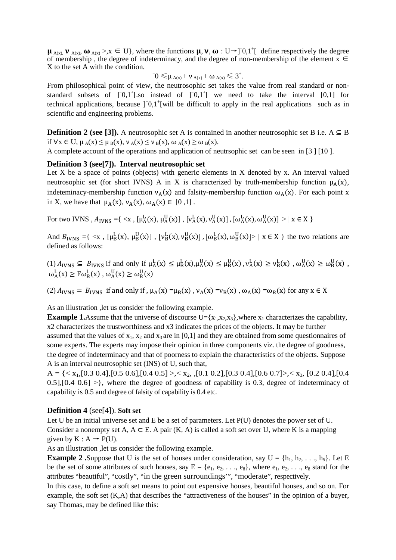$\mu_{A(x),} \nu_{A(x)}, \omega_{A(x)} > x \in U$ , where the functions  $\mu, \nu, \omega : U \rightarrow ]0,1^{\dagger}$  define respectively the degree of membership, the degree of indeterminacy, and the degree of non-membership of the element  $x \in$ X to the set A with the condition.

$$
{}^-0\leqslant_{\textstyle \mu_{A(x)}+ \nu_{A(x)}+\omega_{A(x)}\leqslant 3^+}.
$$

From philosophical point of view, the neutrosophic set takes the value from real standard or nonstandard subsets of  $]$ <sup>-</sup>0,1<sup>+</sup>[.so instead of  $]$ <sup>-0</sup>,1<sup>+</sup>[ we need to take the interval [0,1] for technical applications, because ]<sup>−0</sup>,1<sup>+</sup>[will be difficult to apply in the real applications such as in scientific and engineering problems.

**Definition 2 (see [3]).** A neutrosophic set A is contained in another neutrosophic set B i.e.  $A \subseteq B$ if  $\forall x \in U$ ,  $\mu_A(x) \leq \mu_B(x)$ ,  $\nu_A(x) \leq \nu_B(x)$ ,  $\omega_A(x) \geq \omega_B(x)$ .

A complete account of the operations and application of neutrsophic set can be seen in [3 ] [10 ].

### **Definition 3 (see[7]). Interval neutrosophic set**

Let  $X$  be a space of points (objects) with generic elements in  $X$  denoted by  $x$ . An interval valued neutrosophic set (for short IVNS) A in X is characterized by truth-membership function  $\mu_A(x)$ , indeteminacy-membership function  $v_A(x)$  and falsity-membership function  $\omega_A(x)$ . For each point x in X, we have that  $\mu_A(x)$ ,  $\nu_A(x)$ ,  $\omega_A(x) \in [0,1]$ .

For two IVNS,  $A_{IVNS} = \{ \langle x, [\mu_A^L(x), \mu_A^U(x)], [\nu_A^L(x), \nu_A^U(x)], [\omega_A^L(x), \omega_A^U(x)] \rangle | x \in X \}$ 

And  $B_{IVNS} = \{ \langle x, [\mu_B^L(x), \mu_B^U(x)], [\nu_B^L(x), \nu_B^U(x)], [\omega_B^L(x), \omega_B^U(x)] \rangle \mid x \in X \}$  the two relations are defined as follows:

(1)  $A_{IVNS} \subseteq B_{IVNS}$  if and only if  $\mu_A^L(x) \le \mu_B^L(x), \mu_A^U(x) \le \mu_B^U(x)$ ,  $\nu_A^L(x) \ge \nu_B^L(x)$ ,  $\omega_A^U(x) \ge \omega_B^U(x)$ ,  $\omega_{A}^{L}(x) \geq F \omega_{B}^{L}(x)$ ,  $\omega_{A}^{U}(x) \geq \omega_{B}^{U}(x)$ 

(2)  $A_{IVNS} = B_{IVNS}$  if and only if,  $\mu_A(x) = \mu_B(x)$ ,  $\nu_A(x) = v_B(x)$ ,  $\omega_A(x) = \omega_B(x)$  for any  $x \in X$ 

As an illustration ,let us consider the following example.

**Example 1.**Assume that the universe of discourse  $U = \{x_1, x_2, x_3\}$ , where  $x_1$  characterizes the capability, x2 characterizes the trustworthiness and x3 indicates the prices of the objects. It may be further assumed that the values of  $x_1$ ,  $x_2$  and  $x_3$  are in [0,1] and they are obtained from some questionnaires of some experts. The experts may impose their opinion in three components viz. the degree of goodness, the degree of indeterminacy and that of poorness to explain the characteristics of the objects. Suppose A is an interval neutrosophic set (INS) of U, such that,

 $A = \{ \langle x_1, [0.3 \, 0.4], [0.5 \, 0.6], [0.4 \, 0.5] \rangle, \langle x_2, \langle [0.1 \, 0.2], [0.3 \, 0.4], [0.6 \, 0.7] \rangle, \langle x_3, \langle [0.2 \, 0.4], [0.4 \, 0.6], [0.4 \, 0.6], \langle [0.4 \, 0.6], [0.6 \, 0.7] \rangle, \langle [0.6 \, 0.7], \langle [0.6 \, 0.7], [0.6 \, 0.7], \langle [0.6 \, 0.7], [0.6 \, 0.7], \$  $0.5$ ],[0.4  $0.6$ ] >}, where the degree of goodness of capability is 0.3, degree of indeterminacy of capability is 0.5 and degree of falsity of capability is 0.4 etc.

### **Definition 4** (see[4]). **Soft set**

Let U be an initial universe set and E be a set of parameters. Let P(U) denotes the power set of U. Consider a nonempty set A,  $A \subseteq E$ . A pair  $(K, A)$  is called a soft set over U, where K is a mapping given by  $K : A \rightarrow P(U)$ .

As an illustration ,let us consider the following example.

**Example 2** .Suppose that U is the set of houses under consideration, say  $U = \{h_1, h_2, \ldots, h_5\}$ . Let E be the set of some attributes of such houses, say  $E = \{e_1, e_2, \ldots, e_8\}$ , where  $e_1, e_2, \ldots, e_8$  stand for the attributes "beautiful", "costly", "in the green surroundings'", "moderate", respectively.

In this case, to define a soft set means to point out expensive houses, beautiful houses, and so on. For example, the soft set (K,A) that describes the "attractiveness of the houses" in the opinion of a buyer, say Thomas, may be defined like this: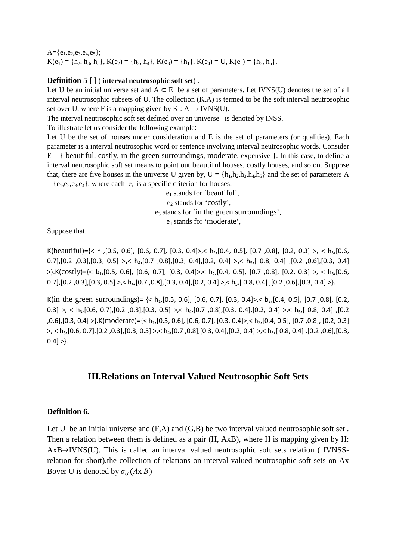$A = \{e_1, e_2, e_3, e_4, e_5\};$  $K(e_1) = \{h_2, h_3, h_5\}, K(e_2) = \{h_2, h_4\}, K(e_3) = \{h_1\}, K(e_4) = U, K(e_5) = \{h_3, h_5\}.$ 

### **Definition 5 [** ] ( **interval neutrosophic soft set**) .

Let U be an initial universe set and  $A \subseteq E$  be a set of parameters. Let IVNS(U) denotes the set of all interval neutrosophic subsets of U. The collection (K,A) is termed to be the soft interval neutrosophic set over U, where F is a mapping given by  $K : A \rightarrow IVNS(U)$ .

The interval neutrosophic soft set defined over an universe is denoted by INSS.

To illustrate let us consider the following example:

Let U be the set of houses under consideration and E is the set of parameters (or qualities). Each parameter is a interval neutrosophic word or sentence involving interval neutrosophic words. Consider  $E = \{$  beautiful, costly, in the green surroundings, moderate, expensive  $\}$ . In this case, to define a interval neutrosophic soft set means to point out beautiful houses, costly houses, and so on. Suppose that, there are five houses in the universe U given by,  $U = \{h_1, h_2, h_3, h_4, h_5\}$  and the set of parameters A  $= \{e_1, e_2, e_3, e_4\}$ , where each  $e_i$  is a specific criterion for houses:

> e1 stands for 'beautiful', e<sub>2</sub> stands for 'costly',  $e_3$  stands for 'in the green surroundings', e4 stands for 'moderate',

Suppose that,

K(beautiful)={< h<sub>1</sub>,[0.5, 0.6], [0.6, 0.7], [0.3, 0.4]>,< h<sub>2</sub>,[0.4, 0.5], [0.7, 0.8], [0.2, 0.3] >, < h<sub>3</sub>,[0.6, 0.7], [0.2 , 0.3], [0.3, 0.5] >,< h<sub>4</sub>, [0.7 , 0.8], [0.3, 0.4], [0.2, 0.4] >,< h<sub>5</sub>, [ 0.8, 0.4] , [0.2, 0.6], [0.3, 0.4]  $>\}$ .K(costly)={< b<sub>1</sub>,[0.5, 0.6], [0.6, 0.7], [0.3, 0.4]>,< h<sub>2</sub>,[0.4, 0.5], [0.7, 0.8], [0.2, 0.3] >, < h<sub>3</sub>,[0.6, 0.7],  $[0.2, 0.3]$ ,  $[0.3, 0.5]$  >,< h<sub>4</sub>,  $[0.7, 0.8]$ ,  $[0.3, 0.4]$ ,  $[0.2, 0.4]$  >,< h<sub>5</sub>,  $[0.8, 0.4]$ ,  $[0.2, 0.6]$ ,  $[0.3, 0.4]$  >...

K(in the green surroundings) =  $\{< h_1[0.5, 0.6], [0.6, 0.7], [0.3, 0.4] \}, < b_2[0.4, 0.5], [0.7, 0.8], [0.2, 0.4] \}$ 0.3] >, < h<sub>3</sub>, [0.6, 0.7], [0.2, 0.3], [0.3, 0.5] >, < h<sub>4</sub>, [0.7, 0.8], [0.3, 0.4], [0.2, 0.4] >, < h<sub>5</sub>, [0.8, 0.4], [0.2 ,0.6], [0.3, 0.4] >}.K(moderate)= $\{< b_1$ , [0.5, 0.6], [0.6, 0.7], [0.3, 0.4]>, $< b_2$ , [0.4, 0.5], [0.7, 0.8], [0.2, 0.3] >, < h3,[0.6, 0.7],[0.2 ,0.3],[0.3, 0.5] >,< h4,[0.7 ,0.8],[0.3, 0.4],[0.2, 0.4] >,< h5,[ 0.8, 0.4] ,[0.2 ,0.6],[0.3,  $0.4] >.$ 

# **III.Relations on Interval Valued Neutrosophic Soft Sets**

### **Definition 6.**

Let U be an initial universe and  $(F,A)$  and  $(G,B)$  be two interval valued neutrosophic soft set. Then a relation between them is defined as a pair (H, AxB), where H is mapping given by H: AxB→IVNS(U). This is called an interval valued neutrosophic soft sets relation ( IVNSSrelation for short).the collection of relations on interval valued neutrosophic soft sets on Ax Bover U is denoted by  $\sigma_{II}(Ax B)$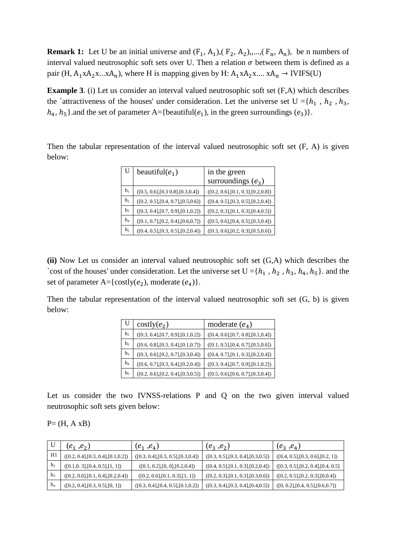**Remark 1:** Let U be an initial universe and  $(F_1, A_1)$ ,  $(F_2, A_2)$ ,,...,  $(F_n, A_n)$ , be n numbers of interval valued neutrosophic soft sets over U. Then a relation  $\sigma$  between them is defined as a pair (H,  $A_1 \times A_2 \times ... \times A_n$ ), where H is mapping given by H:  $A_1 \times A_2 \times ... \times A_n \rightarrow IVIFS(U)$ 

**Example 3.** (i) Let us consider an interval valued neutrosophic soft set  $(F,A)$  which describes the `attractiveness of the houses' under consideration. Let the universe set  $U = \{h_1, h_2, h_3, h_4, h_5, h_6, h_7, h_8, h_9, h_9, h_{10}, h_{11}, h_{12}, h_{13}, h_{14}, h_{15}, h_{16}, h_{17}, h_{18}, h_{19}, h_{10}, h_{11}, h_{12}, h_{13}, h_{14}, h_{15}, h_{16}, h_{17}, h_{18}, h_{19$  $h_4$ ,  $h_5$ }.and the set of parameter A={beautiful( $e_1$ ), in the green surroundings ( $e_3$ )}.

Then the tabular representation of the interval valued neutrosophic soft set (F, A) is given below:

| U              | beautiful( $e_1$ )                   | in the green                         |
|----------------|--------------------------------------|--------------------------------------|
|                |                                      | surroundings $(e_3)$                 |
| $h_1$          | ([0.5, 0.6], [0.3, 0.8], [0.3, 0.4]) | ([0.2, 0.6], [0.1, 0.3], [0.2, 0.8]) |
| h <sub>2</sub> | ([0.2, 0.5], [0.4, 0.7], [0.5, 0.6]) | ([0.4, 0.5], [0.3, 0.5], [0.2, 0.4]) |
| $h_3$          | ([0.3, 0.4], [0.7, 0.9], [0.1, 0.2]) | ([0.2, 0.3], [0.1, 0.3], [0.4, 0.5]) |
| h <sub>4</sub> | ([0.1, 0.7], [0.2, 0.4], [0.6, 0.7]) | ([0.5, 0.6], [0.4, 0.5], [0.3, 0.4]) |
| $h_5$          | ([0.4, 0.5], [0.3, 0.5], [0.2, 0.4]) | ([0.3, 0.6], [0.2, 0.3], [0.5, 0.6]) |

**(ii)** Now Let us consider an interval valued neutrosophic soft set (G,A) which describes the 'cost of the houses' under consideration. Let the universe set  $U = \{h_1, h_2, h_3, h_4, h_5\}$ . and the set of parameter A={costly( $e_2$ ), moderate ( $e_4$ )}.

Then the tabular representation of the interval valued neutrosophic soft set (G, b) is given below:

| U              | $\cos\left(\frac{\theta_2}{2}\right)$ | moderate $(e_4)$                     |
|----------------|---------------------------------------|--------------------------------------|
| $h_1$          | ([0.3, 0.4], [0.7, 0.9], [0.1, 0.2])  | ([0.4, 0.6], [0.7, 0.8], [0.1, 0.4]) |
| h <sub>2</sub> | ([0.6, 0.8], [0.3, 0.4], [0.1, 0.7])  | ([0.1, 0.5], [0.4, 0.7], [0.5, 0.6]) |
| h <sub>3</sub> | ([0.3, 0.6], [0.2, 0.7], [0.3, 0.4])  | ([0.4, 0.7], [0.1, 0.3], [0.2, 0.4]) |
| $h_4$          | ([0.6, 0.7], [0.3, 0.4], [0.2, 0.4])  | ([0.3, 0.4], [0.7, 0.9], [0.1, 0.2]) |
| h <sub>5</sub> | ([0.2, 0.6], [0.2, 0.4], [0.3, 0.5])  | ([0.5, 0.6], [0.6, 0.7], [0.3, 0.4]) |

Let us consider the two IVNSS-relations P and Q on the two given interval valued neutrosophic soft sets given below:

 $P = (H, A \times B)$ 

|                | $(e_1, e_2)$                         | $(e_1, e_4)$                         | $(e_3, e_2)$                         | $(e_3, e_4)$                         |
|----------------|--------------------------------------|--------------------------------------|--------------------------------------|--------------------------------------|
| H1             | ([0.2, 0.4], [0.3, 0.4], [0.1, 0.2]) | ([0.3, 0.4], [0.3, 0.5], [0.3, 0.4]) | ([0.3, 0.5], [0.3, 0.4], [0.3, 0.5]) | ([0.4, 0.5], [0.3, 0.6], [0.2, 1])   |
| h <sub>2</sub> | ([0.1, 0.3], [0.4, 0.5], [1, 1])     | ([0.1, 0.2], [0, 0], [0.2, 0.4])     | ([0.4, 0.5], [0.1, 0.3], [0.2, 0.4]) | ([0.3, 0.5], [0.2, 0.4], [0.4, 0.5]) |
| h <sub>3</sub> | ([0.2, 0.6], [0.1, 0.4], [0.2, 0.4]) | ([0.2, 0.6], [0.1, 0.3], [1, 1])     | ([0.2, 0.3], [0.1, 0.3], [0.3, 0.6]) | ([0.2, 0.5], [0.2, 0.3], [0.0.4])    |
| $h_4$          | ([0.2, 0.4], [0.3, 0.5], [0, 1])     | ([0.3, 0.4], [0.4, 0.5], [0.1, 0.2]) | ([0.3, 0.4], [0.3, 0.4], [0.4, 0.5]) | ([0, 0.2], [0.4, 0.5], [0.6, 0.7])   |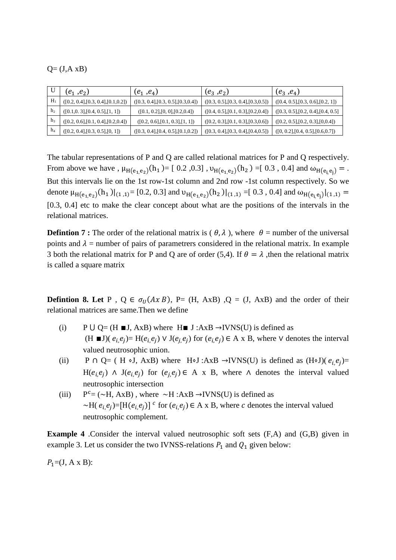## $Q = (J, A \times B)$

|                | $(e_1, e_2)$                         | $(e_1, e_4)$                         | $(e_3, e_2)$                         | $(e_3, e_4)$                         |
|----------------|--------------------------------------|--------------------------------------|--------------------------------------|--------------------------------------|
| H              | ([0.2, 0.4], [0.3, 0.4], [0.1, 0.2]) | ([0.3, 0.4], [0.3, 0.5], [0.3, 0.4]) | ([0.3, 0.5], [0.3, 0.4], [0.3, 0.5]) | ([0.4, 0.5], [0.3, 0.6], [0.2, 1])   |
| h <sub>2</sub> | ([0.1, 0.3], [0.4, 0.5], [1, 1])     | ([0.1, 0.2], [0, 0], [0.2, 0.4])     | ([0.4, 0.5], [0.1, 0.3], [0.2, 0.4]) | ([0.3, 0.5], [0.2, 0.4], [0.4, 0.5]) |
| h <sub>3</sub> | ([0.2, 0.6], [0.1, 0.4], [0.2, 0.4]) | ([0.2, 0.6], [0.1, 0.3], [1, 1])     | ([0.2, 0.3], [0.1, 0.3], [0.3, 0.6]) | ([0.2, 0.5], [0.2, 0.3], [0, 0.4])   |
| $h_4$          | ([0.2, 0.4], [0.3, 0.5], [0, 1])     | ([0.3, 0.4], [0.4, 0.5], [0.1, 0.2]) | ([0.3, 0.4], [0.3, 0.4], [0.4, 0.5]) | ([0, 0.2], [0.4, 0.5], [0.6, 0.7])   |

The tabular representations of P and Q are called relational matrices for P and Q respectively. From above we have ,  $\mu_{H(e_1, e_2)}(h_1) = [0.2, 0.3], \nu_{H(e_1, e_2)}(h_2) = [0.3, 0.4]$  and  $\omega_{H(e_i, e_j)} =$ . But this intervals lie on the 1st row-1st column and 2nd row -1st column respectively. So we denote  $\mu_{H(e_1,e_2)}(h_1)|_{(1,1)} = [0.2, 0.3]$  and  $\nu_{H(e_1,e_2)}(h_2)|_{(1,1)} = [0.3, 0.4]$  and  $\omega_{H(e_i,e_j)}|_{(1,1)} =$ [0.3, 0.4] etc to make the clear concept about what are the positions of the intervals in the relational matrices.

**Defintion 7 :** The order of the relational matrix is  $(\theta, \lambda)$ , where  $\theta$  = number of the universal points and  $\lambda$  = number of pairs of parametrers considered in the relational matrix. In example 3 both the relational matrix for P and Q are of order (5,4). If  $\theta = \lambda$ , then the relational matrix is called a square matrix

**Defintion 8. Let P**,  $Q \in \sigma_U(A \times B)$ , P= (H, AxB) ,Q = (J, AxB) and the order of their relational matrices are same.Then we define

- (i) P  $\bigcup Q = (H \blacksquare J, AxB)$  where  $H \blacksquare J : AxB \rightarrow IVNS(U)$  is defined as  $(H \blacksquare J)$ ( $e_i, e_j$ ) = H( $e_i, e_j$ )  $\vee$  J( $e_j, e_j$ ) for ( $e_i, e_j$ ) ∈ A x B, where  $\vee$  denotes the interval valued neutrosophic union.
- (ii) P ∩ Q= ( H ⋅J, AxB) where H⋅J :AxB →IVNS(U) is defined as  $(H\cdot J)(e_i,e_j)$ = H( $e_i$ , $e_j$ ) ∧ J( $e_i$ , $e_j$ ) for ( $e_j$ , $e_j$ ) ∈ A x B, where ∧ denotes the interval valued neutrosophic intersection
- $(iii)$  $P^c = (\sim H, AxB)$ , where  $\sim H : AxB \rightarrow IVNS(U)$  is defined as ~H( $e_i$ , $e_j$ )=[H( $e_i$ , $e_j$ )]<sup> $c$ </sup> for ( $e_i$ , $e_j$ )  $\in$  A x B, where c denotes the interval valued neutrosophic complement.

**Example 4** .Consider the interval valued neutrosophic soft sets  $(F,A)$  and  $(G,B)$  given in example 3. Let us consider the two IVNSS-relations  $P_1$  and  $Q_1$  given below:

 $P_1 = (J, A \times B)$ :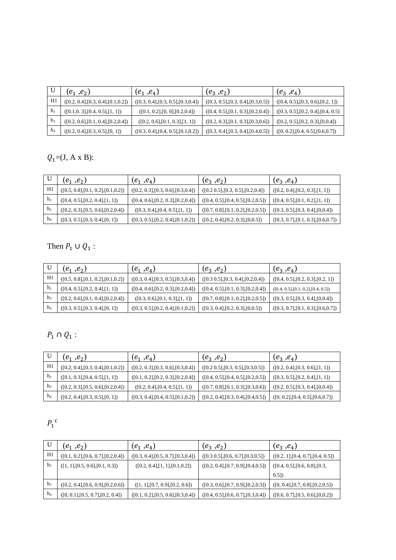|                | $(e_1, e_2)$                         | $(e_1, e_4)$                         | $(e_3, e_2)$                         | $(e_3, e_4)$                        |
|----------------|--------------------------------------|--------------------------------------|--------------------------------------|-------------------------------------|
| H1             | ([0.2, 0.4], [0.3, 0.4], [0.1, 0.2]) | ([0.3, 0.4], [0.3, 0.5], [0.3, 0.4]) | ([0.3, 0.5], [0.3, 0.4], [0.3, 0.5]) | ([0.4, 0.5], [0.3, 0.6], [0.2, 1])  |
| h <sub>2</sub> | ([0.1, 0.3], [0.4, 0.5], [1, 1])     | ([0.1, 0.2], [0, 0], [0.2, 0.4])     | ([0.4, 0.5], [0.1, 0.3], [0.2, 0.4]) | ([0.3, 0.5], [0.2, 0.4], [0.4, 0.5] |
| h <sub>3</sub> | ([0.2, 0.6], [0.1, 0.4], [0.2, 0.4]) | ([0.2, 0.6], [0.1, 0.3], [1, 1])     | ([0.2, 0.3], [0.1, 0.3], [0.3, 0.6]) | ([0.2, 0.5], [0.2, 0.3], [0, 0.4])  |
| $h_4$          | ([0.2, 0.4], [0.3, 0.5], [0, 1])     | ([0.3, 0.4], [0.4, 0.5], [0.1, 0.2]) | ([0.3, 0.4], [0.3, 0.4], [0.4, 0.5]) | ([0, 0.2], [0.4, 0.5], [0.6, 0.7])  |

# $Q_1 = (J, A \times B)$ :

|                | $(e_1, e_2)$                         | $(e_1, e_4)$                         | $(e_3, e_2)$                         | $(e_3, e_4)$                         |
|----------------|--------------------------------------|--------------------------------------|--------------------------------------|--------------------------------------|
| H1             | ([0.5, 0.8], [0.1, 0.2], [0.1, 0.2]) | ([0.2, 0.3], [0.3, 0.6], [0.3, 0.4]) | ([0.2 0.5], [0.3, 0.5], [0.2, 0.4])  | ([0.2, 0.4], [0.2, 0.3], [1, 1])     |
| h <sub>2</sub> | ([0.4, 0.5], [0.2, 0.4], [1, 1])     | ([0.4, 0.6], [0.2, 0.3], [0.2, 0.4]) | ([0.4, 0.5], [0.4, 0.5], [0.2, 0.5]) | ([0.4, 0.5], [0.1, 0.2], [1, 1])     |
| h <sub>3</sub> | ([0.2, 0.3], [0.5, 0.6], [0.2, 0.4]) | ([0.3, 0.4], [0.4, 0.5], [1, 1])     | ([0.7, 0.8], [0.1, 0.2], [0.2, 0.5]) | ([0.3, 0.5], [0.3, 0.4], [0, 0.4])   |
| $h_4$          | ([0.3, 0.5], [0.3, 0.4], [0, 1])     | ([0.3, 0.5], [0.2, 0.4], [0.1, 0.2]) | ([0.2, 0.4], [0.2, 0.3], [0, 0.5])   | ([0.3, 0.7], [0.1, 0.3], [0.6, 0.7]) |

# Then  $P_1 \cup Q_1$ :

|                | $(e_1, e_2)$                         | $(e_1, e_4)$                         | $(e_3, e_2)$                          | $(e_3, e_4)$                         |
|----------------|--------------------------------------|--------------------------------------|---------------------------------------|--------------------------------------|
| H1             | ([0.5, 0.8], [0.1, 0.2], [0.1, 0.2]) | ([0.3, 0.4], [0.3, 0.5], [0.3, 0.4]) | $([0.3 \t0.5],[0.3, 0.4],[0.2, 0.4])$ | ([0.4, 0.5], [0.2, 0.3], [0.2, 1])   |
| h <sub>2</sub> | ([0.4, 0.5], [0.2, 0.4], [1, 1])     | ([0.4, 0.6], [0.2, 0.3], [0.2, 0.4]) | ([0.4, 0.5], [0.1, 0.3], [0.2, 0.4])  | ([0.4, 0.5], [0.1, 0.2], [0.4, 0.5]) |
| h <sub>3</sub> | ([0.2, 0.6], [0.1, 0.4], [0.2, 0.4]) | ([0.3, 0.6], [0.1, 0.3], [1, 1])     | ([0.7, 0.8], [0.1, 0.2], [0.2, 0.5])  | ([0.3, 0.5], [0.3, 0.4], [0.0.4])    |
| h <sub>4</sub> | ([0.3, 0.5], [0.3, 0.4], [0, 1])     | ([0.3, 0.5], [0.2, 0.4], [0.1, 0.2]) | ([0.3, 0.4], [0.2, 0.3], [0.0.5])     | ([0.3, 0.7], [0.1, 0.3], [0.6, 0.7]) |

# $P_1 \cap Q_1$ :

|                | $(e_1, e_2)$                         | $(e_1, e_4)$                         | $(e_3, e_2)$                         | $(e_3, e_4)$                       |
|----------------|--------------------------------------|--------------------------------------|--------------------------------------|------------------------------------|
| H1             | ([0.2, 0.4], [0.3, 0.4], [0.1, 0.2]) | ([0.2, 0.3], [0.3, 0.6], [0.3, 0.4]) | ([0.2 0.5], [0.3, 0.5], [0.3, 0.5])  | ([0.2, 0.4], [0.3, 0.6], [1, 1])   |
| h <sub>2</sub> | ([0.1, 0.3], [0.4, 0.5], [1, 1])     | ([0.1, 0.2], [0.2, 0.3], [0.2, 0.4]) | ([0.4, 0.5], [0.4, 0.5], [0.2, 0.5]) | ([0.3, 0.5], [0.2, 0.4], [1, 1])   |
| h <sub>3</sub> | ([0.2, 0.3], [0.5, 0.6], [0.2, 0.4]) | ([0.2, 0.4], [0.4, 0.5], [1, 1])     | ([0.7, 0.8], [0.1, 0.3], [0.3, 0.6]) | ([0.2, 0.5], [0.3, 0.4], [0, 0.4]) |
| h <sub>4</sub> | ([0.2, 0.4], [0.3, 0.5], [0, 1])     | ([0.3, 0.4], [0.4, 0.5], [0.1, 0.2]) | ([0.2, 0.4], [0.3, 0.4], [0.4, 0.5]) | ([0, 0.2], [0.4, 0.5], [0.6, 0.7]) |

# $P_1^{\text{c}}$

|                | $(e_1, e_2)$                         | $(e_1, e_4)$                         | $(e_3, e_2)$                         | $(e_3, e_4)$                       |
|----------------|--------------------------------------|--------------------------------------|--------------------------------------|------------------------------------|
| H1             | ([0.1, 0.2], [0.6, 0.7], [0.2, 0.4]) | ([0.3, 0.4], [0.5, 0.7], [0.3, 0.4]) | ([0.3 0.5], [0.6, 0.7], [0.3, 0.5])  | ([0.2, 1], [0.4, 0.7], [0.4, 0.5]) |
| h <sub>2</sub> | ([1, 1], [0.5, 0.6], [0.1, 0.3])     | ([0.2, 0.4], [1, 1], [0.1, 0.2])     | ([0.2, 0.4], [0.7, 0.9], [0.4, 0.5]) | ([0.4, 0.5], [0.6, 0.8], [0.3,     |
|                |                                      |                                      |                                      | (0.51)                             |
| h <sub>3</sub> | ([0.2, 0.4], [0.6, 0.9], [0.2, 0.6]) | ([1, 1], [0.7, 0.9], [0.2, 0.6])     | ([0.3, 0.6], [0.7, 0.9], [0.2, 0.3]) | ([0, 0.4], [0.7, 0.8], [0.2, 0.5]) |
| $h_4$          | ([0, 0.1], [0.5, 0.7], [0.2, 0.4])   | ([0.1, 0.2], [0.5, 0.6], [0.3, 0.4]) | ([0.4, 0.5], [0.6, 0.7], [0.3, 0.4]) | ([0.6, 0.7], [0.5, 0.6], [0, 0.2]) |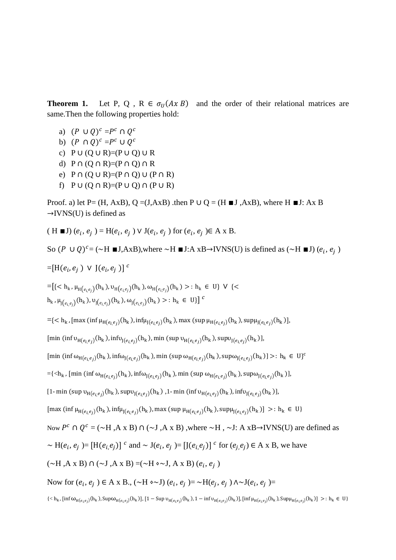**Theorem 1.** Let P, Q, R  $\in \sigma_U(A \times B)$  and the order of their relational matrices are same.Then the following properties hold:

- a)  $(P \cup Q)^c = P^c \cap Q^c$
- b)  $(P \cap Q)^c = P^c \cup Q^c$
- c)  $P \cup (Q \cup R) = (P \cup Q) \cup R$
- d)  $P \cap (Q \cap R) = (P \cap Q) \cap R$
- e)  $P \cap (Q \cup R) = (P \cap Q) \cup (P \cap R)$
- f)  $P \cup (Q \cap R) = (P \cup Q) \cap (P \cup R)$

Proof. a) let P= (H, AxB), Q = (J, AxB) .then P  $\cup$  Q = (H  $\blacksquare$ J, AxB), where H  $\blacksquare$ J: Ax B  $\rightarrow$ IVNS(U) is defined as

 $(H \blacksquare J) (e_i, e_j) = H(e_i, e_j) \vee J(e_i, e_j)$  for  $(e_i, e_j) \in A \times B$ .

So  $(P \cup Q)^c = (\sim H \blacksquare J, AxB)$ , where  $\sim H \blacksquare J$ : A xB→IVNS(U) is defined as  $(\sim H \blacksquare J)$   $(e_i, e_j)$ 

$$
= [H(e_i, e_j) \vee J(e_i, e_j)]^c
$$

$$
= [\{ < h_k, \mu_{H(e_i, e_j)}(h_k), \nu_{H(e_i, e_j)}(h_k), \omega_{H(e_i, e_j)}(h_k) > : h_k \in U \} \lor \{ < h_k, \mu_{J(e_i, e_j)}(h_k), \nu_{J(e_i, e_j)}(h_k), \omega_{J(e_i, e_j)}(h_k) > : h_k \in U \} \} \subset
$$

 $=$ {< h<sub>k</sub>, [max (inf  $\mu_{H(e_i,e_j)}(h_k)$ , inf $\mu_{J(e_i,e_j)}(h_k)$ , max (sup  $\mu_{H(e_i,e_j)}(h_k)$ , sup $\mu_{J(e_i,e_j)}(h_k)$ ],

 $[\min \ ( \inf v_{H(e_i,e_j)}(h_k),\inf v_{J(e_i,e_j)}(h_k), \min \ ( \sup v_{H(e_i,e_j)}(h_k),\sup v_{J(e_i,e_j)}(h_k)],$ 

 $[\min (\inf \omega_{H(e_i, e_j)}(h_k), \inf \omega_{J(e_i, e_j)}(h_k), \min (\sup \omega_{H(e_i, e_j)}(h_k), \sup \omega_{J(e_i, e_j)}(h_k)] >: h_k \in U\}^c$ 

$$
=\langle
$$

$$
[1-\min(\sup u_{H(e_i,e_j)}(h_k), \sup v_{J(e_i,e_j)}(h_k), 1-\min(\inf v_{H(e_i,e_j)}(h_k), \inf v_{J(e_i,e_j)}(h_k)],
$$

 $[\max (\inf \mu_{H(e_i, e_j)}(h_k), \inf \mu_{J(e_i, e_j)}(h_k), \max (\sup \mu_{H(e_i, e_j)}(h_k), \sup \mu_{J(e_i, e_j)}(h_k)] >: h_k \in U\}$ 

Now 
$$
P^c \cap Q^c = (\sim H, A \times B) \cap (\sim J, A \times B)
$$
, where  $\sim H, \sim J$ : A  $\times B \rightarrow IVNS(U)$  are defined as

$$
\sim \mathcal{H}(e_i, e_j) = [\mathcal{H}(e_i, e_j)]^c \text{ and } \sim \mathcal{J}(e_i, e_j) = [\mathcal{J}(e_i, e_j)]^c \text{ for } (e_j, e_j) \in \mathcal{A} \times \mathcal{B}, \text{ we have}
$$

$$
(\sim H, A \times B) \cap (\sim J, A \times B) = (\sim H \circ \sim J, A \times B) (e_i, e_j)
$$

Now for  $(e_i, e_j) \in A \times B$ ., (∼H ◊∼J)  $(e_i, e_j) = \sim H(e_j, e_j) \land \sim J(e_i, e_j) =$ 

 $\{< h_k$ , [inf  $\omega_{H(e_i,e_j)}(h_k)$ , Sup $\omega_{H(e_i,e_j)}(h_k)$ ], [1 – Sup  $\nu_{H(e_i,e_j)}(h_k)$ , 1 – inf  $\nu_{H(e_i,e_j)}(h_k)$ ], [inf  $\mu_{H(e_i,e_j)}(h_k)$ , Sup $\mu_{H(e_i,e_j)}(h_k)$ ] >:  $h_k \in U\}$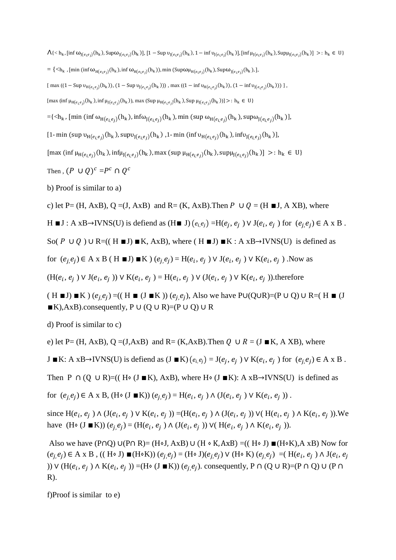$\Lambda$ { < h<sub>k</sub>, [inf  $\omega_{J(e_i e_j)}(h_k)$ , Sup $\omega_{J(e_i e_j)}(h_k)$ ], [1 – Sup  $\nu_{J(e_i e_j)}(h_k)$ , 1 – inf  $\nu_{J(e_i e_j)}(h_k)$ ], [inf  $\mu_{J(e_i e_j)}(h_k)$ , Sup $\mu_{J(e_i e_j)}(h_k)$ ] >: h<sub>k</sub> ∈ U}

- $= \{ <\!\!\!\!\uparrow_{h_k} , \text{\rm [min (inf $\omega_{H(e_i,e_j)}(h_k)$, inf $\omega_{H(e_i,e_j)}(h_k)$), min $(Sup $\omega_{H(e_i,e_j)}(h_k)$, Sup $\omega_{J(e_i,e_j)}(h_k)$,}]\},$
- $\left[ \max ((1 \text{Sup } v_{H(e_i, e_j)}(h_k)), (1 \text{Sup } v_{J(e_i, e_j)}(h_k))) \right], \max ((1 \text{inf } v_{H(e_i, e_j)}(h_k)), (1 \text{inf } v_{J(e_i, e_j)}(h_k))) \right],$

 $[\max (\inf \mu_{H(e_i,e_j)}(h_k), \inf \mu_{J(e_i,e_j)}(h_k))$ , max  $(\sup \mu_{H(e_i,e_j)}(h_k), \sup \mu_{J(e_i,e_j)}(h_k))] >: h_k \in U$ 

- $=\<\!\!{\cal A}_k$  , [min (inf  $\omega_{{\rm H}(e_i,e_j)}(h_k)$ , inf $\omega_{{\rm J}(e_i,e_j)}(h_k)$ , min (sup  $\omega_{{\rm H}(e_i,e_j)}(h_k)$ , sup $\omega_{{\rm J}(e_i,e_j)}(h_k)$ ],
- $[1-\min\left(\sup \upsilon_{H(e_i,e_j)}(h_k),\sup \upsilon_{J(e_i,e_j)}(h_k)\right.,1-\min\left(\inf \upsilon_{H(e_i,e_j)}(h_k),\inf \upsilon_{J(e_i,e_j)}(h_k)\right)],$

 $[\max (\inf \mu_{H(e_i, e_j)}(h_k), \inf \mu_{J(e_i, e_j)}(h_k), \max (\sup \mu_{H(e_i, e_j)}(h_k), \sup \mu_{J(e_i, e_j)}(h_k)] >: h_k \in U\}$ 

Then ,  $(P\cup Q)^c = P^c \cap Q^c$ 

b) Proof is similar to a)

c) let P= (H, AxB), Q = (J, AxB) and R= (K, AxB). Then  $P \cup Q = (H \blacksquare J, A XB)$ , where

H ■J : A xB→IVNS(U) is defiend as (H ■ J)  $(e_i, e_j)$  =H $(e_j, e_j)$  V J $(e_i, e_j)$  for  $(e_j, e_j) \in A$  x B.

So(  $P \cup Q$ ) ∪ R=(( H  $\blacksquare$ J)  $\blacksquare$ K, AxB), where ( H  $\blacksquare$ J)  $\blacksquare$ K : A xB→IVNS(U) is defined as

for  $(e_j, e_j) \in A \times B$  ( H ■J) ■K )  $(e_j, e_j) = H(e_i, e_j) \vee J(e_i, e_j) \vee K(e_i, e_j)$ . Now as

 $(H(e_i, e_j) \vee J(e_i, e_j)) \vee K(e_i, e_j) = H(e_i, e_j) \vee (J(e_i, e_j) \vee K(e_i, e_j))$ .therefore

 $(H \blacksquare J) \blacksquare K$  )  $(e_j, e_j)$  =(( H  $\blacksquare$  (J  $\blacksquare K$  ))  $(e_j, e_j)$ , Also we have P∪(Q∪R)=(P ∪ Q) ∪ R=( H  $\blacksquare$  (J  $\blacksquare$ K),AxB).consequently, P ∪ (Q ∪ R)=(P ∪ Q) ∪ R

d) Proof is similar to c)

e) let P= (H, AxB), Q =(J,AxB) and R= (K,AxB). Then  $Q \cup R = (J \blacksquare K, A \times B)$ , where

J ■K: A xB→IVNS(U) is defiend as (J ■K)  $(e_i, e_j) = J(e_j, e_j) \vee K(e_i, e_j)$  for  $(e_j, e_j) \in A \times B$ .

Then P ∩ (Q ∪ R)=(( H⋅ (J ■K), AxB), where H⋅ (J ■K): A xB→IVNS(U) is defined as

for  $(e_j, e_j) \in A \times B$ ,  $(H \circ (J \blacksquare K)) (e_j, e_j) = H(e_i, e_j \wedge (J(e_i, e_j \wedge K(e_i, e_j \wedge K(e_j, e_j \wedge K(e_j, e_j \wedge K(e_j, e_j \wedge K(e_j, e_j \wedge K(e_j, e_j \wedge K(e_j, e_j \wedge K(e_j, e_j \wedge K(e_j, e_j \wedge K(e_j, e_j \wedge K(e_j, e_j \wedge K(e_j, e_j \wedge K(e_j, e_j \wedge K(e_j, e_j \wedge K(e_j, e_j \wedge K(e_j, e_j \wedge K(e_j, e_j \wedge K(e_j, e_j \wedge$ 

since  $H(e_i, e_j) \wedge (J(e_i, e_j) \vee K(e_i, e_j)) = (H(e_i, e_j) \wedge (J(e_i, e_j)) \vee (H(e_i, e_j) \wedge K(e_i, e_j)).$  We have (H ⋅ (J ■ K))  $(e_j, e_j) = (H(e_i, e_j) \land (J(e_i, e_j)) \lor (H(e_i, e_j) \land K(e_i, e_j)).$ 

Also we have (P∩Q) ∪(P∩ R)= (H∘J, AxB) ∪ (H ∘ K, AxB) = ((H∘ J)  $\blacksquare$ (H⋅K), A xB) Now for  $(e_j, e_j)$  ∈ A x B , (( H ⋅ J) ■(H ⋅ K))  $(e_j, e_j)$  = (H ⋅ J) $(e_j, e_j)$  V (H ⋅ K)  $(e_j, e_j)$  = (H $(e_i, e_j)$  ∧ J $(e_i, e_j)$ )) ∨ (H( $e_i, e_j$ ) ∧ K( $e_i, e_j$ )) =(H $\circ$  (J ■K)) ( $e_j, e_j$ ). consequently, P ∩ (Q ∪ R)=(P ∩ Q) ∪ (P ∩  $R$ ).

f)Proof is similar to e)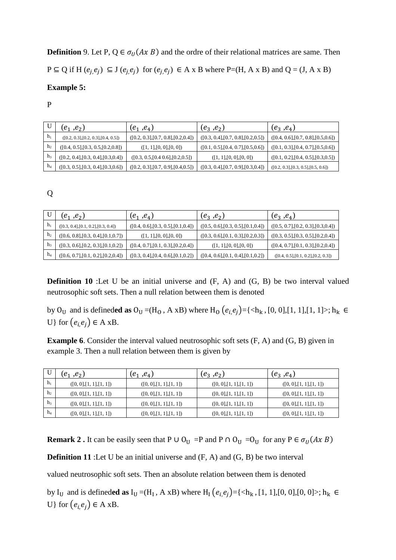**Definition** 9. Let P,  $Q \in \sigma_U(A \times B)$  and the ordre of their relational matrices are same. Then  $P \subseteq Q$  if H  $(e_j, e_j) \subseteq J(e_j, e_j)$  for  $(e_j, e_j) \in A \times B$  where P=(H, A x B) and Q = (J, A x B)

# **Example 5:**

P

|                | $(e_1, e_2)$                         | $(e_1, e_4)$                         | $(e_3, e_2)$                         | $(e_3, e_4)$                         |
|----------------|--------------------------------------|--------------------------------------|--------------------------------------|--------------------------------------|
| $h_1$          | ([0.2, 0.3], [0.2, 0.3], [0.4, 0.5]) | ([0.2, 0.3], [0.7, 0.8], [0.2, 0.4]) | ([0.3, 0.4], [0.7, 0.8], [0.2, 0.5]) | ([0.4, 0.6], [0.7, 0.8], [0.5, 0.6]) |
| h <sub>2</sub> | ([0.4, 0.5], [0.3, 0.5], [0.2, 0.8]) | ([1, 1], [0, 0], [0, 0])             | ([0.1, 0.5], [0.4, 0.7], [0.5, 0.6]) | ([0.1, 0.3], [0.4, 0.7], [0.5, 0.6]) |
| h3             | ([0.2, 0.4], [0.3, 0.4], [0.3, 0.4]) | ([0.3, 0.5, [0.4, 0.6], [0.2, 0.5])  | ([1, 1], [0, 0], [0, 0])             | ([0.1, 0.2], [0.4, 0.5], [0.3, 0.5]) |
| $h_4$          | ([0.3, 0.5], [0.3, 0.4], [0.3, 0.6]) | ([0.2, 0.3], [0.7, 0.9], [0.4, 0.5]) | ([0.3, 0.4], [0.7, 0.9], [0.3, 0.4]) | ([0.2, 0.3], [0.3, 0.5], [0.5, 0.6]) |

Q

|                | $(e_1, e_2)$                         | $(e_1, e_4)$                         | $(e_3, e_2)$                         | $(e_3, e_4)$                         |
|----------------|--------------------------------------|--------------------------------------|--------------------------------------|--------------------------------------|
| $h_1$          | ([0.3, 0.4], [0.1, 0.2], [0.3, 0.4]) | ([0.4, 0.6], [0.3, 0.5], [0.1, 0.4]) | ([0.5, 0.6], [0.3, 0.5], [0.1, 0.4]) | ([0.5, 0.7], [0.2, 0.3], [0.3, 0.4]) |
| h <sub>2</sub> | ([0.6, 0.8], [0.3, 0.4], [0.1, 0.7]) | ([1, 1], [0, 0], [0, 0])             | ([0.3, 0.6], [0.1, 0.3], [0.2, 0.3]) | ([0.3, 0.5], [0.3, 0.5], [0.2, 0.4]) |
| h3             | ([0.3, 0.6], [0.2, 0.3], [0.1, 0.2]) | ([0.4, 0.7], [0.1, 0.3], [0.2, 0.4]) | ([1, 1], [0, 0], [0, 0])             | ([0.4, 0.7], [0.1, 0.3], [0.2, 0.4]) |
| $h_4$          | ([0.6, 0.7], [0.1, 0.2], [0.2, 0.4]) | ([0.3, 0.4], [0.4, 0.6], [0.1, 0.2]) | ([0.4, 0.6], [0.1, 0.4], [0.1, 0.2]) | ([0.4, 0.5], [0.1, 0.2], [0.2, 0.3]) |

**Definition 10** :Let U be an initial universe and  $(F, A)$  and  $(G, B)$  be two interval valued neutrosophic soft sets. Then a null relation between them is denoted

by O<sub>U</sub> and is defineded as  $O_U = (H_0, A \times B)$  where  $H_0$   $(e_i, e_j) = \{ \langle h_k, [0, 0], [1, 1], [1, 1] \rangle; h_k \in$ U} for  $(e_i, e_j) \in A$  xB.

**Example 6**. Consider the interval valued neutrosophic soft sets  $(F, A)$  and  $(G, B)$  given in example 3. Then a null relation between them is given by

|                | $(e_1, e_2)$             | $(e_1, e_4)$             | $(e_3, e_2)$             | $(e_3, e_4)$             |
|----------------|--------------------------|--------------------------|--------------------------|--------------------------|
| $h_1$          | ([0, 0], [1, 1], [1, 1]) | ([0, 0], [1, 1], [1, 1]) | ([0, 0], [1, 1], [1, 1]) | ([0, 0], [1, 1], [1, 1]) |
| h <sub>2</sub> | ([0, 0], [1, 1], [1, 1]) | ([0, 0], [1, 1], [1, 1]) | ([0, 0], [1, 1], [1, 1]) | ([0, 0], [1, 1], [1, 1]) |
| h <sub>3</sub> | ([0, 0], [1, 1], [1, 1]) | ([0, 0], [1, 1], [1, 1]) | ([0, 0], [1, 1], [1, 1]) | ([0, 0], [1, 1], [1, 1]) |
| $h_4$          | ([0, 0], [1, 1], [1, 1]) | ([0, 0], [1, 1], [1, 1]) | ([0, 0], [1, 1], [1, 1]) | ([0, 0], [1, 1], [1, 1]) |

**Remark 2.** It can be easily seen that P ∪ O<sub>U</sub> =P and P ∩ O<sub>U</sub> =O<sub>U</sub> for any P  $\in \sigma_U(A \times B)$ 

**Definition 11** :Let U be an initial universe and  $(F, A)$  and  $(G, B)$  be two interval

valued neutrosophic soft sets. Then an absolute relation between them is denoted

by I<sub>U</sub> and is defineded as  $I_U = (H_I, A \times B)$  where  $H_I(e_i,e_j) = \{ \langle h_k, [1, 1], [0, 0], [0, 0] \rangle; h_k \in$ U} for  $(e_i e_i) \in A$  xB.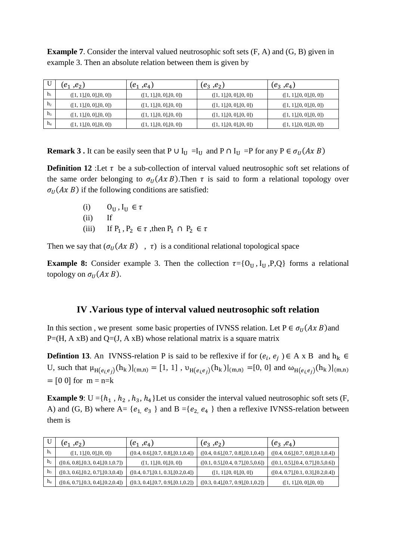**Example 7.** Consider the interval valued neutrosophic soft sets  $(F, A)$  and  $(G, B)$  given in example 3. Then an absolute relation between them is given by

|                | $(e_1, e_2)$             | $(e_1, e_4)$             | $(e_3, e_2)$             | $(e_3, e_4)$             |
|----------------|--------------------------|--------------------------|--------------------------|--------------------------|
| $h_1$          | ([1, 1], [0, 0], [0, 0]) | ([1, 1], [0, 0], [0, 0]) | ([1, 1], [0, 0], [0, 0]) | ([1, 1], [0, 0], [0, 0]) |
| h <sub>2</sub> | ([1, 1], [0, 0], [0, 0]) | ([1, 1], [0, 0], [0, 0]) | ([1, 1], [0, 0], [0, 0]) | ([1, 1], [0, 0], [0, 0]) |
| h <sub>3</sub> | ([1, 1], [0, 0], [0, 0]) | ([1, 1], [0, 0], [0, 0]) | ([1, 1], [0, 0], [0, 0]) | ([1, 1], [0, 0], [0, 0]) |
| $\rm{h}_4$     | ([1, 1], [0, 0], [0, 0]) | ([1, 1], [0, 0], [0, 0]) | ([1, 1], [0, 0], [0, 0]) | ([1, 1], [0, 0], [0, 0]) |

**Remark 3 .** It can be easily seen that P ∪  $I_U = I_U$  and P ∩  $I_U = P$  for any P  $\in \sigma_U(A \times B)$ 

**Definition 12** :Let  $\tau$  be a sub-collection of interval valued neutrosophic soft set relations of the same order belonging to  $\sigma_U(Ax B)$ . Then  $\tau$  is said to form a relational topology over  $\sigma_{II}(Ax B)$  if the following conditions are satisfied:

- (i)  $0_{\text{II}}, I_{\text{II}} \in \tau$
- $(ii)$
- (iii) If  $P_1$ ,  $P_2 \in \tau$ , then  $P_1 \cap P_2 \in \tau$

Then we say that  $(\sigma_U(A \times B) , \tau)$  is a conditional relational topological space

**Example 8:** Consider example 3. Then the collection  $\tau = \{O_{\text{U}}$ , I<sub>U</sub>, P, Q forms a relational topology on  $\sigma_{II}(Ax B)$ .

# **IV .Various type of interval valued neutrosophic soft relation**

In this section, we present some basic properties of IVNSS relation. Let  $P \in \sigma_{II}(Ax B)$  and  $P=(H, A \times B)$  and  $Q=(J, A \times B)$  whose relational matrix is a square matrix

**Defintion 13.** An IVNSS-relation P is said to be reflexive if for  $(e_i, e_j) \in A \times B$  and  $h_k \in$ U, such that  $\mu_{H(e_i,e_j)}(h_k)|_{(m,n)} = [1, 1]$ ,  $\nu_{H(e_i,e_j)}(h_k)|_{(m,n)} = [0, 0]$  and  $\omega_{H(e_i,e_j)}(h_k)|_{(m,n)}$  $= [0 0]$  for  $m = n=k$ 

**Example 9**:  $U = \{h_1, h_2, h_3, h_4\}$  Let us consider the interval valued neutrosophic soft sets (F, A) and (G, B) where A= { $e_1$ ,  $e_3$ } and B ={ $e_2$ ,  $e_4$ } then a reflexive IVNSS-relation between them is

|                | $(e_1, e_2)$                         | $(e_1, e_4)$                         | $(e_3, e_2)$                         | $(e_3, e_4)$                         |
|----------------|--------------------------------------|--------------------------------------|--------------------------------------|--------------------------------------|
| $h_1$          | ([1, 1], [0, 0], [0, 0])             | ([0.4, 0.6], [0.7, 0.8], [0.1, 0.4]) | ([0.4, 0.6], [0.7, 0.8], [0.1, 0.4]) | ([0.4, 0.6], [0.7, 0.8], [0.1, 0.4]) |
| h <sub>2</sub> | ([0.6, 0.8], [0.3, 0.4], [0.1, 0.7]) | ([1, 1], [0, 0], [0, 0])             | ([0.1, 0.5], [0.4, 0.7], [0.5, 0.6]) | ([0.1, 0.5], [0.4, 0.7], [0.5, 0.6]) |
| h3             | ([0.3, 0.6], [0.2, 0.7], [0.3, 0.4]) | ([0.4, 0.7], [0.1, 0.3], [0.2, 0.4]) | ([1, 1], [0, 0], [0, 0])             | ([0.4, 0.7], [0.1, 0.3], [0.2, 0.4]) |
| $\rm{h}_4$     | ([0.6, 0.7], [0.3, 0.4], [0.2, 0.4]) | ([0.3, 0.4], [0.7, 0.9], [0.1, 0.2]) | ([0.3, 0.4], [0.7, 0.9], [0.1, 0.2]) | ([1, 1], [0, 0], [0, 0])             |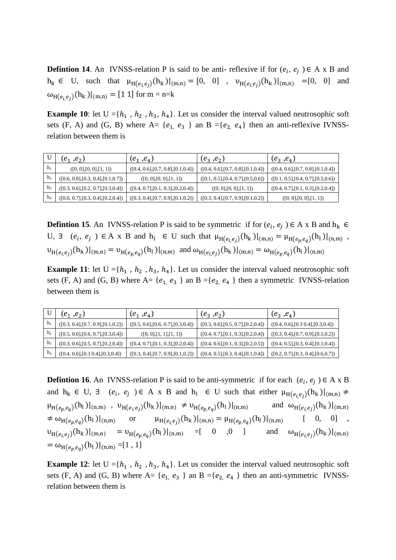**Defintion 14.** An IVNSS-relation P is said to be anti- reflexive if for  $(e_i, e_j) \in A \times B$  and  $h_k \in U$ , such that  $\mu_{H(e_i,e_j)}(h_k)|_{(m,n)} = [0, 0]$ ,  $\nu_{H(e_i,e_j)}(h_k)|_{(m,n)} = [0, 0]$  and  $\omega_{H(e_i,e_j)}(h_k)|_{(m,n)} = [1\ 1]$  for  $m = n=k$ 

**Example 10**: let  $U = \{h_1, h_2, h_3, h_4\}$ . Let us consider the interval valued neutrosophic soft sets (F, A) and (G, B) where A= { $e_1$ ,  $e_3$ } an B ={ $e_2$ ,  $e_4$ } then an anti-reflexive IVNSSrelation between them is

|                | $(e_1, e_2)$                         | $(e_1, e_4)$                         | $(e_3, e_2)$                         | $(e_3, e_4)$                         |
|----------------|--------------------------------------|--------------------------------------|--------------------------------------|--------------------------------------|
| h <sub>1</sub> | ([0, 0], [0, 0], [1, 1])             | ([0.4, 0.6], [0.7, 0.8], [0.1, 0.4]) | ([0.4, 0.6], [0.7, 0.8], [0.1, 0.4]) | ([0.4, 0.6], [0.7, 0.8], [0.1, 0.4]) |
| h <sub>2</sub> | ([0.6, 0.8], [0.3, 0.4], [0.1, 0.7]) | ([0, 0], [0, 0], [1, 1])             | ([0.1, 0.5], [0.4, 0.7], [0.5, 0.6]) | ([0.1, 0.5], [0.4, 0.7], [0.5, 0.6]) |
| h <sub>3</sub> | ([0.3, 0.6], [0.2, 0.7], [0.3, 0.4]) | ([0.4, 0.7], [0.1, 0.3], [0.2, 0.4]) | ([0, 0], [0, 0], [1, 1])             | ([0.4, 0.7], [0.1, 0.3], [0.2, 0.4]) |
| $h_4$          | ([0.6, 0.7], [0.3, 0.4], [0.2, 0.4]) | ([0.3, 0.4], [0.7, 0.9], [0.1, 0.2]) | ([0.3, 0.4], [0.7, 0.9], [0.1, 0.2]) | ([0, 0], [0, 0], [1, 1])             |

**Defintion 15**. An IVNSS-relation P is said to be symmetric if for  $(e_i, e_j) \in A \times B$  and  $h_k \in$ U,  $\exists$   $(e_i, e_j) \in A$  x B and  $h_l \in U$  such that  $\mu_{H(e_i,e_j)}(h_k)|_{(m,n)} = \mu_{H(e_p,e_q)}(h_l)|_{(n,m)}$ ,  $v_{H(e_i,e_j)}(h_k)|_{(m,n)} = v_{H(e_p,e_q)}(h_l)|_{(n,m)}$  and  $\omega_{H(e_i,e_j)}(h_k)|_{(m,n)} = \omega_{H(e_p,e_q)}(h_l)|_{(n,m)}$ 

**Example 11**: let  $U = \{h_1, h_2, h_3, h_4\}$ . Let us consider the interval valued neutrosophic soft sets (F, A) and (G, B) where A= { $e_1$ ,  $e_3$ } an B ={ $e_2$ ,  $e_4$ } then a symmetric IVNSS-relation between them is

|                | $(e_1, e_2)$                         | $(e_1, e_4)$                         | $(e_3, e_2)$                         | $(e_3, e_4)$                         |
|----------------|--------------------------------------|--------------------------------------|--------------------------------------|--------------------------------------|
| $h_1$          | ([0.3, 0.4], [0.7, 0.9], [0.1, 0.2]) | ([0.5, 0.6], [0.6, 0.7], [0.3, 0.4]) | ([0.3, 0.6], [0.5, 0.7], [0.2, 0.4]) | ([0.4, 0.6], [0.3, 0.4], [0.3, 0.4]) |
| h <sub>2</sub> | ([0.5, 0.6], [0.6, 0.7], [0.3, 0.4]) | ([0, 0], [1, 1], [1, 1])             | ([0.4, 0.7], [0.1, 0.3], [0.2, 0.4]) | ([0.3, 0.4], [0.7, 0.9], [0.1, 0.2]) |
| h3             | ([0.3, 0.6], [0.5, 0.7], [0.2, 0.4]) | ([0.4, 0.7], [0.1, 0.3], [0.2, 0.4]) | ([0.4, 0.6], [0.1, 0.3], [0.2, 0.5]) | ([0.4, 0.5], [0.3, 0.4], [0.1, 0.4]) |
| $h_4$          | ([0.4, 0.6], [0.3, 0.4], [0.3, 0.4]) | ([0.3, 0.4], [0.7, 0.9], [0.1, 0.2]) | ([0.4, 0.5], [0.3, 0.4], [0.1, 0.4]) | ([0.2, 0.7], [0.3, 0.4], [0.6, 0.7]) |

**Defintion 16.** An IVNSS-relation P is said to be anti-symmetric if for each  $(e_i, e_j) \in A \times B$ and  $h_k \in U$ ,  $\exists$   $(e_i, e_j) \in A$  x B and  $h_l \in U$  such that either  $\mu_{H(e_i,e_j)}(h_k)|_{(m,n)} \neq$  $\mu_{H(e_p,e_q)}(h_1)|_{(n,m)}$ ,  $\nu_{H(e_i,e_j)}(h_k)|_{(m,n)} \neq \nu_{H(e_p,e_q)}(h_1)|_{(n,m)}$  and  $\omega_{H(e_i,e_j)}(h_k)|_{(m,n)}$  $\neq \omega_{\text{H}(e_n,e_q)}(\text{h}_1)|_{(n,m)}$  $(h_1)|_{(n,m)}$  or  $\mu_{H(e_i,e_j)}(h_k)|_{(m,n)} = \mu_{H(e_p,e_q)}(h_1)|_{(n,m)}$  [ 0, 0],  $v_{H(e_i,e_j)}(h_k)|_{(m,n)} = v_{H(e_p,e_q)}(h_l)|_{(n,m)} = [ 0 0 0 ]$  and  $\omega_{H(e_i,e_j)}(h_k)|_{(m,n)}$  $= \omega_{H(e_p,e_q)}(h_1)|_{(n,m)} = [1, 1]$ 

**Example 12**: let  $U = \{h_1, h_2, h_3, h_4\}$ . Let us consider the interval valued neutrosophic soft sets (F, A) and (G, B) where  $A = \{e_1, e_3\}$  an  $B = \{e_2, e_4\}$  then an anti-symmetric IVNSSrelation between them is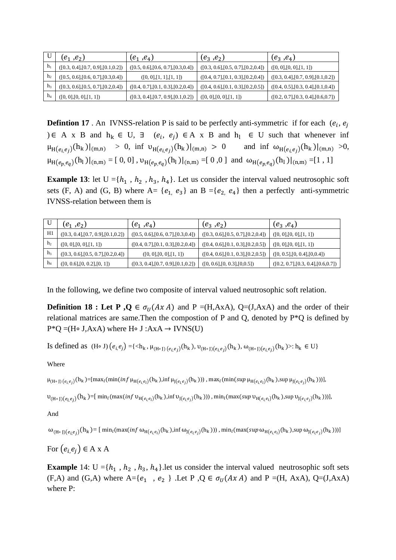|                | $(e_1, e_2)$                         | $(e_1, e_4)$                         | $(e_3, e_2)$                         | $(e_3, e_4)$                         |
|----------------|--------------------------------------|--------------------------------------|--------------------------------------|--------------------------------------|
| $h_1$          | ([0.3, 0.4], [0.7, 0.9], [0.1, 0.2]) | ([0.5, 0.6], [0.6, 0.7], [0.3, 0.4]) | ([0.3, 0.6], [0.5, 0.7], [0.2, 0.4]) | ([0, 0], [0, 0], [1, 1])             |
| h <sub>2</sub> | ([0.5, 0.6], [0.6, 0.7], [0.3, 0.4]) | ([0, 0], [1, 1], [1, 1])             | ([0.4, 0.7], [0.1, 0.3], [0.2, 0.4]) | ([0.3, 0.4], [0.7, 0.9], [0.1, 0.2]) |
| h <sub>3</sub> | ([0.3, 0.6], [0.5, 0.7], [0.2, 0.4]) | ([0.4, 0.7], [0.1, 0.3], [0.2, 0.4]) | ([0.4, 0.6], [0.1, 0.3], [0.2, 0.5]) | ([0.4, 0.5], [0.3, 0.4], [0.1, 0.4]) |
| $h_4$          | ([0, 0], [0, 0], [1, 1])             | ([0.3, 0.4], [0.7, 0.9], [0.1, 0.2]) | ([0, 0], [0, 0], [1, 1])             | ([0.2, 0.7], [0.3, 0.4], [0.6, 0.7]) |

**Defintion 17**. An IVNSS-relation P is said to be perfectly anti-symmetric if for each  $(e_i, e_j)$ ) ∈ A x B and  $h_k$  ∈ U,  $\exists$  ( $e_i$ ,  $e_j$ ) ∈ A x B and  $h_l$  ∈ U such that whenever inf  $\mu_{H(e_i,e_j)}(h_k)|_{(m,n)} > 0$ , inf  $\nu_{H(e_i,e_j)}(h_k)|_{(m,n)} > 0$  and inf  $\omega_{H(e_i,e_j)}(h_k)|_{(m,n)} > 0$ ,  $\mu_{H(e_p,e_q)}(h_1)|_{(n,m)} = [0, 0]$ ,  $\nu_{H(e_p,e_q)}(h_1)|_{(n,m)} = [0, 0]$  and  $\omega_{H(e_p,e_q)}(h_1)|_{(n,m)} = [1, 1]$ 

**Example 13**: let  $U = \{h_1, h_2, h_3, h_4\}$ . Let us consider the interval valued neutrosophic soft sets (F, A) and (G, B) where A=  $\{e_1, e_3\}$  an B = $\{e_2, e_4\}$  then a perfectly anti-symmetric IVNSS-relation between them is

|                | $(e_1^-,e_2^+)$                      | $(e_1^-,e_4^+)$                      | $(e_3, e_2)$                         | $(e_3, e_4)$                         |
|----------------|--------------------------------------|--------------------------------------|--------------------------------------|--------------------------------------|
| H1             | ([0.3, 0.4], [0.7, 0.9], [0.1, 0.2]) | ([0.5, 0.6], [0.6, 0.7], [0.3, 0.4]) | ([0.3, 0.6], [0.5, 0.7], [0.2, 0.4]) | ([0, 0], [0, 0], [1, 1])             |
| h <sub>2</sub> | ([0, 0], [0, 0], [1, 1])             | ([0.4, 0.7], [0.1, 0.3], [0.2, 0.4]) | ([0.4, 0.6], [0.1, 0.3], [0.2, 0.5]) | ([0, 0], [0, 0], [1, 1])             |
| h <sub>3</sub> | ([0.3, 0.6], [0.5, 0.7], [0.2, 0.4]) | ([0, 0], [0, 0], [1, 1])             | ([0.4, 0.6], [0.1, 0.3], [0.2, 0.5]) | ([0, 0.5], [0, 0.4], [0, 0.4])       |
| $h_4$          | ([0, 0.6], [0, 0.2], [0, 1])         | ([0.3, 0.4], [0.7, 0.9], [0.1, 0.2]) | ([0, 0.6], [0, 0.3], [0, 0.5])       | ([0.2, 0.7], [0.3, 0.4], [0.6, 0.7]) |

In the following, we define two composite of interval valued neutrosophic soft relation.

**Definition 18 : Let P**,  $Q \in \sigma_U(AxA)$  and P =(H,AxA), Q=(J,AxA) and the order of their relational matrices are same.Then the compostion of P and Q, denoted by P\*Q is defined by P\*Q =(H∘ J,AxA) where H∘ J :AxA → IVNS(U)

Is defined as  $(H \circ J) (e_{i,}e_j) = {\langle h_k, \mu_{(H \circ J) (e_{i,}e_j)}(h_k), \nu_{(H \circ J) (e_{i,}e_j)}(h_k), \omega_{(H \circ J) (e_{i,}e_j)}(h_k) \rangle : h_k \in U}$ 

Where

 $\mu_{(H \circ J)(e_i,e_j)}(h_k) = [\max_l (\min(intf \mu_{H(e_i,e_l)}(h_k), \inf \mu_{J(e_l,e_j)}(h_k)))$ , max<sub>l</sub>(min(*sup* μ<sub>H(e<sub>i,el</sub>)(h<sub>k</sub>),sup μ<sub>J(e<sub>i,ej</sub>)(h<sub>k</sub>)))],</sub></sub>

 $\upsilon_{(H\circ J)(e_i,e_j)}(h_k)$ =[ min<sub>l</sub>(max(inf  $\upsilon_{H(e_i,e_l)}(h_k)$ ,inf  $\upsilon_{J(e_l,e_j)}(h_k)$ )), min<sub>l</sub>(max(sup  $\upsilon_{H(e_i,e_l)}(h_k)$ ,sup  $\upsilon_{J(e_l,e_j)}(h_k)$ ))],

And

 $\omega_{(H\circ J)(e_i,e_j)}(h_k) = [\ \min_l (\max(\inf \omega_{H(e_i,e_l)}(h_k),\inf \omega_{J(e_l,e_j)}(h_k)))\ , \min_l (\max(\sup \omega_{H(e_i,e_l)}(h_k),\sup \omega_{J(e_l,e_j)}(h_k))) ]$ 

For  $(e_i e_i) \in A x A$ 

**Example** 14:  $U = \{h_1, h_2, h_3, h_4\}$ . let us consider the interval valued neutrosophic soft sets (F,A) and (G,A) where  $A = \{e_1, e_2\}$ . Let P,  $Q \in \sigma_U(AxA)$  and P =(H, AxA), Q=(J,AxA) where P: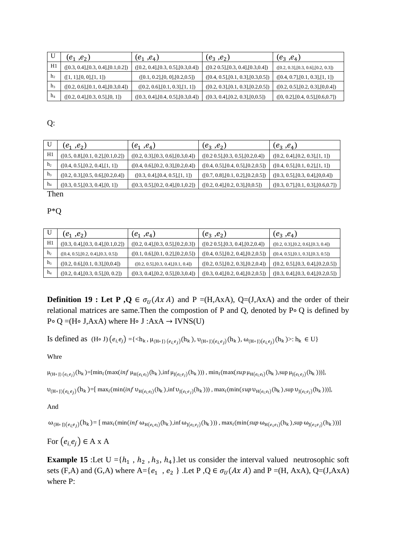|                | $(e_1, e_2)$                         | $(e_1^-,e_4^+)$                      | $(e_3, e_2)$                         | $(e_3, e_4)$                         |
|----------------|--------------------------------------|--------------------------------------|--------------------------------------|--------------------------------------|
| H1             | ([0.3, 0.4], [0.3, 0.4], [0.1, 0.2]) | ([0.2, 0.4], [0.3, 0.5], [0.3, 0.4]) | ([0.2 0.5], [0.3, 0.4], [0.3, 0.4])  | ([0.2, 0.3], [0.3, 0.6], [0.2, 0.3]) |
| h <sub>2</sub> | ([1, 1], [0, 0], [1, 1])             | ([0.1, 0.2], [0, 0], [0.2, 0.5])     | ([0.4, 0.5], [0.1, 0.3], [0.3, 0.5]) | ([0.4, 0.7], [0.1, 0.3], [1, 1])     |
| h <sub>3</sub> | ([0.2, 0.6], [0.1, 0.4], [0.3, 0.4]) | ([0.2, 0.6], [0.1, 0.3], [1, 1])     | ([0.2, 0.3], [0.1, 0.3], [0.2, 0.5]) | ([0.2, 0.5], [0.2, 0.3], [0, 0.4])   |
| $h_4$          | ([0.2, 0.4], [0.3, 0.5], [0, 1])     | ([0.3, 0.4], [0.4, 0.5], [0.3, 0.4]) | ([0.3, 0.4], [0.2, 0.3], [0.0.5])    | ([0, 0.2], [0.4, 0.5], [0.6, 0.7])   |

Q:

|                | $(e_1, e_2)$                         | $(e_1, e_4)$                         | $(e_3, e_2)$                         | $(e_3, e_4)$                         |
|----------------|--------------------------------------|--------------------------------------|--------------------------------------|--------------------------------------|
| H1             | ([0.5, 0.8], [0.1, 0.2], [0.1, 0.2]) | ([0.2, 0.3], [0.3, 0.6], [0.3, 0.4]) | ([0.2 0.5], [0.3, 0.5], [0.2, 0.4])  | ([0.2, 0.4], [0.2, 0.3], [1, 1])     |
| h <sub>2</sub> | ([0.4, 0.5], [0.2, 0.4], [1, 1])     | ([0.4, 0.6], [0.2, 0.3], [0.2, 0.4]) | ([0.4, 0.5], [0.4, 0.5], [0.2, 0.5]) | ([0.4, 0.5], [0.1, 0.2], [1, 1])     |
| h <sub>3</sub> | ([0.2, 0.3], [0.5, 0.6], [0.2, 0.4]) | ([0.3, 0.4], [0.4, 0.5], [1, 1])     | ([0.7, 0.8], [0.1, 0.2], [0.2, 0.5]) | ([0.3, 0.5], [0.3, 0.4], [0, 0.4])   |
| h              | ([0.3, 0.5], [0.3, 0.4], [0, 1])     | ([0.3, 0.5], [0.2, 0.4], [0.1, 0.2]) | ([0.2, 0.4], [0.2, 0.3], [0.0.5])    | ([0.3, 0.7], [0.1, 0.3], [0.6, 0.7]) |
| $\sim$         |                                      |                                      |                                      |                                      |

Then

P\*Q

|                | $(e_1^-,e_2^+)$                      | $(e_1, e_4)$                         | $(e_3, e_2)$                         | $(e_3, e_4)$                         |
|----------------|--------------------------------------|--------------------------------------|--------------------------------------|--------------------------------------|
| H1             | ([0.3, 0.4], [0.3, 0.4], [0.1, 0.2]) | ([0.2, 0.4], [0.3, 0.5], [0.2, 0.3]) | ([0.2 0.5], [0.3, 0.4], [0.2, 0.4])  | ([0.2, 0.3], [0.2, 0.6], [0.3, 0.4]) |
| h <sub>2</sub> | ([0.4, 0.5], [0.2, 0.4], [0.3, 0.5]) | ([0.1, 0.6], [0.1, 0.2], [0.2, 0.5]) | ([0.4, 0.5], [0.2, 0.4], [0.2, 0.5]) | ([0.4, 0.5], [0.1, 0.3], [0.3, 0.5]) |
| h3             | ([0.2, 0.6], [0.1, 0.3], [0, 0.4])   | ([0.2, 0.5], [0.3, 0.4], [0.1, 0.4]) | ([0.2, 0.5], [0.2, 0.3], [0.2, 0.4]) | ([0.2, 0.5], [0.3, 0.4], [0.2, 0.5]) |
| $\hbar$        | ([0.2, 0.4], [0.3, 0.5], [0, 0.2])   | ([0.3, 0.4], [0.2, 0.5], [0.3, 0.4]) | ([0.3, 0.4], [0.2, 0.4], [0.2, 0.5]) | ([0.3, 0.4], [0.3, 0.4], [0.2, 0.5]) |

**Definition 19 : Let P**,  $Q \in \sigma_U(AxA)$  and P =(H,AxA), Q=(J,AxA) and the order of their relational matrices are same.Then the compostion of P and Q, denoted by P∘ Q is defined by P∘ Q =(H∘ J,AxA) where H∘ J :AxA → IVNS(U)

Is defined as  $(H \circ J) (e_{i,}e_{j}) = {\langle h_{k}, \mu_{(H \circ J) (e_{i,}e_{j})}(h_{k}), \nu_{(H \circ J) (e_{i,}e_{j})}(h_{k}), \omega_{(H \circ J) (e_{i,}e_{j})}(h_{k}) \rangle : h_{k} \in U}$ 

Whre

 $\mu_{(H \circ J)(e_i,e_j)}(h_k) = [min_l(max(inf \mu_{H(e_i,e_l)}(h_k),inf \mu_{J(e_l,e_j)}(h_k)))$ ,  $min_l(max(sup \mu_{H(e_i,e_l)}(h_k),sup \mu_{J(e_l,e_j)}(h_k)))]$ ,

 $\upsilon_{(H\circ J)(e_i,e_j)}(h_k)$ =[ max<sub>l</sub>(min(inf  $\upsilon_{H(e_i,e_l)}(h_k)$ ,inf  $\upsilon_{J(e_l,e_j)}(h_k)$ )) , max<sub>l</sub>(min(sup  $\upsilon_{H(e_i,e_l)}(h_k)$ ,sup  $\upsilon_{J(e_l,e_j)}(h_k)$ ))],

And

 $\omega_{(H\circ J)(e_i,e_j)}(h_k) = [\; \max_l (\min(\mathop{\inf}\limits_{\omega_{H(e_i,e_l)}(h_k), \inf}\omega_{J(e_l,e_j)}(h_k))) \,, \\ \max_l (\min(\mathop{\sup}\limits_{\omega_{H(e_i,e_l)}(h_k), \sup}\omega_{J(e_l,e_j)}(h_k))) ]$ 

For  $(e_i e_i) \in A x A$ 

**Example 15** :Let  $U = \{h_1, h_2, h_3, h_4\}$ . let us consider the interval valued neutrosophic soft sets (F,A) and (G,A) where A={ $e_1$ ,  $e_2$ }. Let P, Q  $\in \sigma_U(AxA)$  and P =(H, AxA), Q=(J,AxA) where P: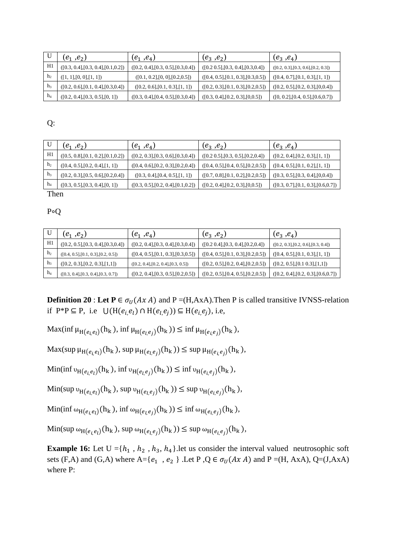|                  | $(e_1, e_2)$                         | $(e_1, e_4)$                         | $(e_3, e_2)$                         | $(e_3, e_4)$                         |
|------------------|--------------------------------------|--------------------------------------|--------------------------------------|--------------------------------------|
| H1               | ([0.3, 0.4], [0.3, 0.4], [0.1, 0.2]) | ([0.2, 0.4], [0.3, 0.5], [0.3, 0.4]) | ([0.2 0.5], [0.3, 0.4], [0.3, 0.4])  | ([0.2, 0.3], [0.3, 0.6], [0.2, 0.3]) |
| h <sub>2</sub>   | ([1, 1], [0, 0], [1, 1])             | ([0.1, 0.2], [0, 0], [0.2, 0.5])     | ([0.4, 0.5], [0.1, 0.3], [0.3, 0.5]) | ([0.4, 0.7], [0.1, 0.3], [1, 1])     |
| h <sub>3</sub>   | ([0.2, 0.6], [0.1, 0.4], [0.3, 0.4]) | ([0.2, 0.6], [0.1, 0.3], [1, 1])     | ([0.2, 0.3], [0.1, 0.3], [0.2, 0.5]) | ([0.2, 0.5], [0.2, 0.3], [0, 0.4])   |
| $\mathbf{h}_{4}$ | ([0.2, 0.4], [0.3, 0.5], [0, 1])     | ([0.3, 0.4], [0.4, 0.5], [0.3, 0.4]) | ([0.3, 0.4], [0.2, 0.3], [0.0.5])    | ([0, 0.2], [0.4, 0.5], [0.6, 0.7])   |

Q:

|                | $(e_1, e_2)$                         | $(e_1, e_4)$                         | $(e_3, e_2)$                         | $(e_3, e_4)$                         |
|----------------|--------------------------------------|--------------------------------------|--------------------------------------|--------------------------------------|
| H1             | ([0.5, 0.8], [0.1, 0.2], [0.1, 0.2]) | ([0.2, 0.3], [0.3, 0.6], [0.3, 0.4]) | ([0.2 0.5], [0.3, 0.5], [0.2, 0.4])  | ([0.2, 0.4], [0.2, 0.3], [1, 1])     |
| h <sub>2</sub> | ([0.4, 0.5], [0.2, 0.4], [1, 1])     | ([0.4, 0.6], [0.2, 0.3], [0.2, 0.4]) | ([0.4, 0.5], [0.4, 0.5], [0.2, 0.5]) | ([0.4, 0.5], [0.1, 0.2], [1, 1])     |
| h <sub>3</sub> | ([0.2, 0.3], [0.5, 0.6], [0.2, 0.4]) | ([0.3, 0.4], [0.4, 0.5], [1, 1])     | ([0.7, 0.8], [0.1, 0.2], [0.2, 0.5]) | ([0.3, 0.5], [0.3, 0.4], [0, 0.4])   |
| h              | ([0.3, 0.5], [0.3, 0.4], [0, 1])     | ([0.3, 0.5], [0.2, 0.4], [0.1, 0.2]) | ([0.2, 0.4], [0.2, 0.3], [0, 0.5])   | ([0.3, 0.7], [0.1, 0.3], [0.6, 0.7]) |
| TT1.           |                                      |                                      |                                      |                                      |

Then

P∘Q

|                | $(e_1, e_2)$                         | $(e_1, e_4)$                         | $(e_3, e_2)$                         | $(e_3, e_4)$                         |
|----------------|--------------------------------------|--------------------------------------|--------------------------------------|--------------------------------------|
| H1             | ([0.2, 0.5], [0.3, 0.4], [0.3, 0.4]) | ([0.2, 0.4], [0.3, 0.4], [0.3, 0.4]) | ([0.2 0.4], [0.3, 0.4], [0.2, 0.4])  | ([0.2, 0.3], [0.2, 0.6], [0.3, 0.4]) |
| h <sub>2</sub> | ([0.4, 0.5], [0.1, 0.3], [0.2, 0.5]) | ([0.4, 0.5], [0.1, 0.3], [0.3, 0.5]) | ([0.4, 0.5], [0.1, 0.3], [0.2, 0.5]) | ([0.4, 0.5], [0.1, 0.3], [1, 1])     |
| h <sub>3</sub> | ([0.2, 0.3], [0.2, 0.3], [1,1])      | ([0.2, 0.4], [0.2, 0.4], [0.3, 0.5]) | ([0.2, 0.5], [0.2, 0.4], [0.2, 0.5]) | ([0.2, 0.5], [0.1, 0.3], [1,1])      |
| $h_4$          | ([0.3, 0.4], [0.3, 0.4], [0.3, 0.7]) | ([0.2, 0.4], [0.3, 0.5], [0.2, 0.5]) | ([0.2, 0.5], [0.4, 0.5], [0.2, 0.5]) | ([0.2, 0.4], [0.2, 0.3], [0.6, 0.7]) |

**Definition 20** : Let  $P \in \sigma_U(Ax \land A)$  and  $P = (H, AxA)$ . Then P is called transitive IVNSS-relation if P\*P ⊆ P, i.e  $\bigcup (H(e_i,e_l) \cap H(e_l,e_i)) \subseteq H(e_i,e_i)$ , i.e,

Max(inf  $\mu_{H(e_i,e_l)}(h_k)$ , inf  $\mu_{H(e_l,e_j)}(h_k) \leq \inf \mu_{H(e_i,e_j)}(h_k)$ ,

 $\text{Max}(\sup \mu_{H(e_i, e_l)}(h_k), \sup \mu_{H(e_l, e_j)}(h_k)) \leq \sup \mu_{H(e_i, e_j)}(h_k),$ 

 $\text{Min}(\inf v_{H(e_i,e_l)}(h_k), \inf v_{H(e_l,e_j)}(h_k)) \leq \inf v_{H(e_i,e_j)}(h_k),$ 

 $\text{Min}(\sup \nu_{H(e_i,e_l)}(h_k), \sup \nu_{H(e_l,e_j)}(h_k)) \leq \sup \nu_{H(e_i,e_j)}(h_k),$ 

 $\text{Min}(\inf \omega_{H(e_i,e_l)}(h_k), \inf \omega_{H(e_l,e_j)}(h_k)) \leq \inf \omega_{H(e_i,e_j)}(h_k),$ 

 $\text{Min}(\sup \omega_{H(e_i,e_l)}(h_k), \sup \omega_{H(e_l,e_j)}(h_k)) \leq \sup \omega_{H(e_i,e_j)}(h_k),$ 

**Example 16:** Let  $U = \{h_1, h_2, h_3, h_4\}$ . let us consider the interval valued neutrosophic soft sets (F,A) and (G,A) where A={ $e_1$ ,  $e_2$ }. Let P, Q  $\in \sigma_U(Ax \land A)$  and P =(H, AxA), Q=(J,AxA) where P: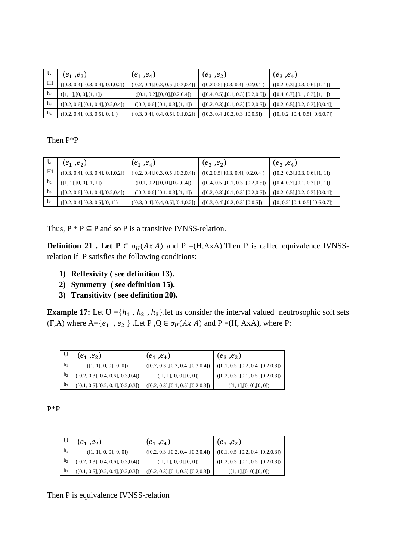|                | $(e_1, e_2)$                         | $(e_1, e_4)$                         | $(e_3, e_2)$                         | $(e_3, e_4)$                       |
|----------------|--------------------------------------|--------------------------------------|--------------------------------------|------------------------------------|
| H1             | ([0.3, 0.4], [0.3, 0.4], [0.1, 0.2]) | ([0.2, 0.4], [0.3, 0.5], [0.3, 0.4]) | ([0.2 0.5], [0.3, 0.4], [0.2, 0.4])  | ([0.2, 0.3], [0.3, 0.6], [1, 1])   |
| h <sub>2</sub> | ([1, 1], [0, 0], [1, 1])             | ([0.1, 0.2], [0, 0], [0.2, 0.4])     | ([0.4, 0.5], [0.1, 0.3], [0.2, 0.5]) | ([0.4, 0.7], [0.1, 0.3], [1, 1])   |
| h <sub>3</sub> | ([0.2, 0.6], [0.1, 0.4], [0.2, 0.4]) | ([0.2, 0.6], [0.1, 0.3], [1, 1])     | ([0.2, 0.3], [0.1, 0.3], [0.2, 0.5]) | ([0.2, 0.5], [0.2, 0.3], [0, 0.4]) |
| $h_4$          | ([0.2, 0.4], [0.3, 0.5], [0, 1])     | ([0.3, 0.4], [0.4, 0.5], [0.1, 0.2]) | ([0.3, 0.4], [0.2, 0.3], [0, 0.5])   | ([0, 0.2], [0.4, 0.5], [0.6, 0.7]) |

# Then P\*P

|                | $(e_1, e_2)$                         | $(e_1, e_4)$                         | $(e_3, e_2)$                         | $(e_3, e_4)$                       |
|----------------|--------------------------------------|--------------------------------------|--------------------------------------|------------------------------------|
| H1             | ([0.3, 0.4], [0.3, 0.4], [0.1, 0.2]) | ([0.2, 0.4], [0.3, 0.5], [0.3, 0.4]) | ([0.2 0.5], [0.3, 0.4], [0.2, 0.4])  | ([0.2, 0.3], [0.3, 0.6], [1, 1])   |
| h <sub>2</sub> | ([1, 1], [0, 0], [1, 1])             | ([0.1, 0.2], [0, 0], [0.2, 0.4])     | ([0.4, 0.5], [0.1, 0.3], [0.2, 0.5]) | ([0.4, 0.7], [0.1, 0.3], [1, 1])   |
| h <sub>3</sub> | ([0.2, 0.6], [0.1, 0.4], [0.2, 0.4]) | ([0.2, 0.6], [0.1, 0.3], [1, 1])     | ([0.2, 0.3], [0.1, 0.3], [0.2, 0.5]) | ([0.2, 0.5], [0.2, 0.3], [0.0.4])  |
| h <sub>4</sub> | ([0.2, 0.4], [0.3, 0.5], [0, 1])     | ([0.3, 0.4], [0.4, 0.5], [0.1, 0.2]) | ([0.3, 0.4], [0.2, 0.3], [0.0.5])    | ([0, 0.2], [0.4, 0.5], [0.6, 0.7]) |

Thus,  $P * P \subseteq P$  and so P is a transitive IVNSS-relation.

**Definition 21 . Let P**  $\in \sigma_U(AxA)$  and P =(H,AxA).Then P is called equivalence IVNSSrelation if P satisfies the following conditions:

- **1) Reflexivity ( see definition 13).**
- **2) Symmetry ( see definition 15).**
- **3) Transitivity ( see definition 20).**

**Example 17:** Let  $U = \{h_1, h_2, h_3\}$ . let us consider the interval valued neutrosophic soft sets (F,A) where A={ $e_1$ ,  $e_2$ }. Let P, Q  $\in \sigma_U(Ax \land A)$  and P =(H, AxA), where P:

|                | $(e_1, e_2)$                         | $(e_1, e_4)$                         | $(e_3, e_2)$                         |
|----------------|--------------------------------------|--------------------------------------|--------------------------------------|
| h <sub>1</sub> | ([1, 1], [0, 0], [0, 0])             | ([0.2, 0.3], [0.2, 0.4], [0.3, 0.4]) | ([0.1, 0.5], [0.2, 0.4], [0.2, 0.3]) |
| h <sub>2</sub> | ([0.2, 0.3], [0.4, 0.6], [0.3, 0.4]) | ([1, 1], [0, 0], [0, 0])             | ([0.2, 0.3], [0.1, 0.5], [0.2, 0.3]) |
| h3             | ([0.1, 0.5], [0.2, 0.4], [0.2, 0.3]) | ([0.2, 0.3], [0.1, 0.5], [0.2, 0.3]) | ([1, 1], [0, 0], [0, 0])             |

## P\*P

|                | $(e_1, e_2)$                         | $(e_1, e_4)$                         | $(e_3, e_2)$                         |
|----------------|--------------------------------------|--------------------------------------|--------------------------------------|
| $h_1$          | ([1, 1], [0, 0], [0, 0])             | ([0.2, 0.3], [0.2, 0.4], [0.3, 0.4]) | ([0.1, 0.5], [0.2, 0.4], [0.2, 0.3]) |
| h <sub>2</sub> | ([0.2, 0.3], [0.4, 0.6], [0.3, 0.4]) | ([1, 1], [0, 0], [0, 0])             | ([0.2, 0.3], [0.1, 0.5], [0.2, 0.3]) |
| h <sub>3</sub> | ([0.1, 0.5], [0.2, 0.4], [0.2, 0.3]) | ([0.2, 0.3], [0.1, 0.5], [0.2, 0.3]) | ([1, 1], [0, 0], [0, 0])             |

Then P is equivalence IVNSS-relation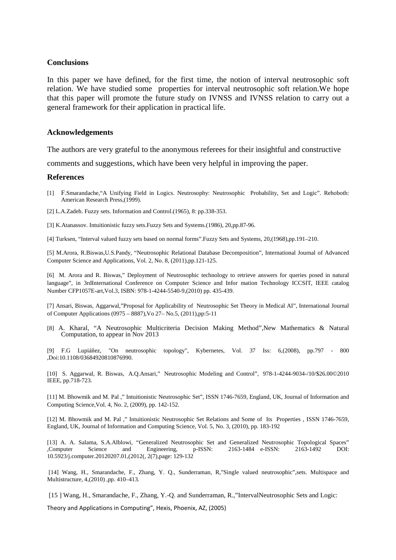### **Conclusions**

In this paper we have defined, for the first time, the notion of interval neutrosophic soft relation. We have studied some properties for interval neutrosophic soft relation.We hope that this paper will promote the future study on IVNSS and IVNSS relation to carry out a general framework for their application in practical life.

### **Acknowledgements**

The authors are very grateful to the anonymous referees for their insightful and constructive

comments and suggestions, which have been very helpful in improving the paper.

### **References**

[1] F.Smarandache,"A Unifying Field in Logics. Neutrosophy: Neutrosophic Probability, Set and Logic". Rehoboth: American Research Press,(1999).

[2] L.A.Zadeh. Fuzzy sets. Information and Control.(1965), 8: pp.338-353.

[3] K.Atanassov. Intuitionistic fuzzy sets.Fuzzy Sets and Systems.(1986), 20,pp.87-96.

[4] Turksen, "Interval valued fuzzy sets based on normal forms".Fuzzy Sets and Systems, 20,(1968),pp.191–210.

[5] M.Arora, R.Biswas,U.S.Pandy, "Neutrosophic Relational Database Decomposition", International Journal of Advanced Computer Science and Applications, Vol. 2, No. 8, (2011),pp.121-125.

[6] M. Arora and R. Biswas," Deployment of Neutrosophic technology to retrieve answers for queries posed in natural language", in 3rdInternational Conference on Computer Science and Infor mation Technology ICCSIT, IEEE catalog Number CFP1057E-art,Vol.3, ISBN: 978-1-4244-5540-9,(2010) pp. 435-439.

[7] Ansari, Biswas, Aggarwal,"Proposal for Applicability of Neutrosophic Set Theory in Medical AI", International Journal of Computer Applications (0975 – 8887),Vo 27– No.5, (2011),pp:5-11

[8] A. Kharal, "A Neutrosophic Multicriteria Decision Making Method",New Mathematics & Natural Computation, to appear in Nov 2013

[9] F.G Lupiáñez, "On neutrosophic topology", Kybernetes, Vol. 37 Iss: 6,(2008), pp.797 - 800 ,Doi:10.1108/03684920810876990.

[10] S. Aggarwal, R. Biswas, A.Q.Ansari," Neutrosophic Modeling and Control", 978-1-4244-9034-/10/\$26.00©2010 IEEE, pp.718-723.

[11] M. Bhowmik and M. Pal ," Intuitionistic Neutrosophic Set", ISSN 1746-7659, England, UK, Journal of Information and Computing Science,Vol. 4, No. 2, (2009), pp. 142-152.

[12] M. Bhowmik and M. Pal ," Intuitionistic Neutrosophic Set Relations and Some of Its Properties , ISSN 1746-7659, England, UK, Journal of Information and Computing Science, Vol. 5, No. 3, (2010), pp. 183-192

[13] A. A. Salama, S.A.Alblowi, "Generalized Neutrosophic Set and Generalized Neutrosophic Topological Spaces" ,Computer Science and Engineering, p-ISSN: 2163-1484 e-ISSN: 2163-1492 DOI: 10.5923/j.computer.20120207.01,(2012(, 2(7),page: 129-132

 [14] Wang, H., Smarandache, F., Zhang, Y. Q., Sunderraman, R,"Single valued neutrosophic",sets. Multispace and Multistructure, 4,(2010) ,pp. 410–413.

[15 ] Wang, H., Smarandache, F., Zhang, Y.-Q. and Sunderraman, R.,"IntervalNeutrosophic Sets and Logic:

Theory and Applications in Computing", Hexis, Phoenix, AZ, (2005)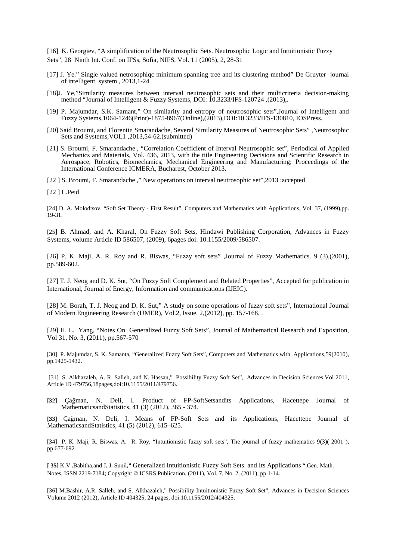[16] K. Georgiev, "A simplification of the Neutrosophic Sets. Neutrosophic Logic and Intuitionistic Fuzzy Sets", 28 Ninth Int. Conf. on IFSs, Sofia, NIFS, Vol. 11 (2005), 2, 28-31

- [17] J. Ye." Single valued netrosophiqc minimum spanning tree and its clustering method" De Gruyter journal of intelligent system , 2013,1-24
- [18]J. Ye,"Similarity measures between interval neutrosophic sets and their multicriteria decision-making method "Journal of Intelligent & Fuzzy Systems, DOI: 10.3233/IFS-120724 ,(2013),.
- [19] P. Majumdar, S.K. Samant," On similarity and entropy of neutrosophic sets",Journal of Intelligent and Fuzzy Systems,1064-1246(Print)-1875-8967(Online),(2013),DOI:10.3233/IFS-130810, IOSPress.
- [20] Said Broumi, and Florentin Smarandache, Several Similarity Measures of Neutrosophic Sets" ,Neutrosophic Sets and Systems,VOL1 ,2013,54-62.(submitted)
- [21] S. Broumi, F. Smarandache , "Correlation Coefficient of Interval Neutrosophic set", Periodical of Applied Mechanics and Materials, Vol. 436, 2013, with the title Engineering Decisions and Scientific Research in Aerospace, Robotics, Biomechanics, Mechanical Engineering and Manufacturing; Proceedings of the International Conference ICMERA, Bucharest, October 2013.
- [22 ] S. Broumi, F. Smarandache ," New operations on interval neutrosophic set",2013 ;accepted
- [22 ] L.Peid

[24] D. A. Molodtsov, "Soft Set Theory - First Result", Computers and Mathematics with Applications, Vol. 37, (1999),pp. 19-31.

[25] B. Ahmad, and A. Kharal, On Fuzzy Soft Sets, Hindawi Publishing Corporation, Advances in Fuzzy Systems, volume Article ID 586507, (2009), 6pages doi: 10.1155/2009/586507.

[26] P. K. Maji, A. R. Roy and R. Biswas, "Fuzzy soft sets" ,Journal of Fuzzy Mathematics. 9 (3),(2001), pp.589-602.

[27] T. J. Neog and D. K. Sut, "On Fuzzy Soft Complement and Related Properties", Accepted for publication in International, Journal of Energy, Information and communications (IJEIC).

[28] M. Borah, T. J. Neog and D. K. Sut," A study on some operations of fuzzy soft sets", International Journal of Modern Engineering Research (IJMER), Vol.2, Issue. 2,(2012), pp. 157-168. .

[29] H. L. Yang, "Notes On Generalized Fuzzy Soft Sets", Journal of Mathematical Research and Exposition, Vol 31, No. 3, (2011), pp.567-570

[30] P. Majumdar, S. K. Samanta, "Generalized Fuzzy Soft Sets", Computers and Mathematics with Applications,59(2010), pp.1425-1432.

 [31] S. Alkhazaleh, A. R. Salleh, and N. Hassan," Possibility Fuzzy Soft Set", Advances in Decision Sciences,Vol 2011, Article ID 479756,18pages,doi:10.1155/2011/479756.

**[32]** Çağman, N. Deli, I. Product of FP-SoftSetsandits Applications, Hacettepe Journal of MathematicsandStatistics, 41 (3) (2012), 365 - 374.

**[33]** Çağman, N. Deli, I. Means of FP-Soft Sets and its Applications, Hacettepe Journal of MathematicsandStatistics, 41 (5) (2012), 615–625.

[34] P. K. Maji, R. Biswas, A. R. Roy, "Intuitionistic fuzzy soft sets", The journal of fuzzy mathematics 9(3)( 2001 ), pp.677-692

**[ 35]** K.V **.**Babitha.and J**.** J**.** Sunil**,"** Generalized Intuitionistic Fuzzy Soft Sets and Its Applications ",Gen. Math. Notes, ISSN 2219-7184; Copyright © ICSRS Publication, (2011), Vol. 7, No. 2, (2011), pp.1-14.

[36] M.Bashir, A.R. Salleh, and S. Alkhazaleh," Possibility Intuitionistic Fuzzy Soft Set", Advances in Decision Sciences Volume 2012 (2012), Article ID 404325, 24 pages, doi:10.1155/2012/404325.